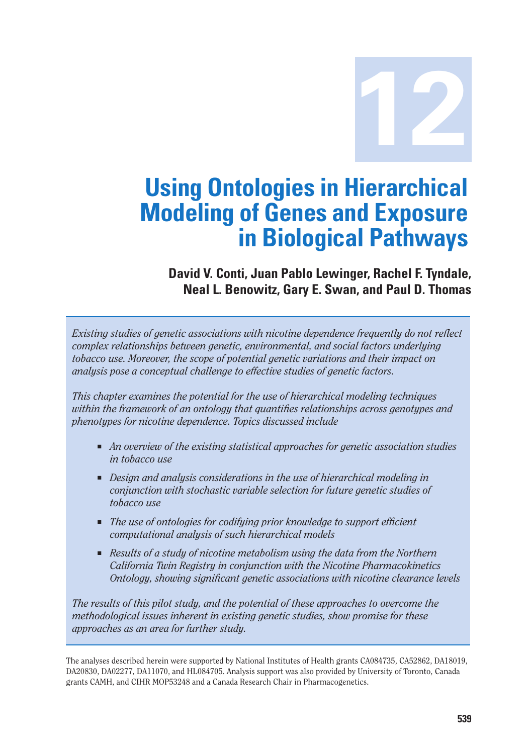**12**

# **Using Ontologies in Hierarchical Modeling of Genes and Exposure in Biological Pathways**

**David V. Conti, Juan Pablo Lewinger, Rachel F. Tyndale, Neal L. Benowitz, Gary E. Swan, and Paul D. Thomas** 

*Existing studies of genetic associations with nicotine dependence frequently do not reflect complex relationships between genetic, environmental, and social factors underlying tobacco use. Moreover, the scope of potential genetic variations and their impact on analysis pose a conceptual challenge to effective studies of genetic factors.* 

*This chapter examines the potential for the use of hierarchical modeling techniques within the framework of an ontology that quantifies relationships across genotypes and phenotypes for nicotine dependence. Topics discussed include* 

- *An overview of the existing statistical approaches for genetic association studies in tobacco use*
- *Design and analysis considerations in the use of hierarchical modeling in conjunction with stochastic variable selection for future genetic studies of tobacco use*
- *The use of ontologies for codifying prior knowledge to support efficient computational analysis of such hierarchical models*
- Results of a study of nicotine metabolism using the data from the Northern *California Twin Registry in conjunction with the Nicotine Pharmacokinetics Ontology, showing significant genetic associations with nicotine clearance levels*

*The results of this pilot study, and the potential of these approaches to overcome the methodological issues inherent in existing genetic studies, show promise for these approaches as an area for further study.* 

The analyses described herein were supported by National Institutes of Health grants CA084735, CA52862, DA18019, DA20830, DA02277, DA11070, and HL084705. Analysis support was also provided by University of Toronto, Canada grants CAMH, and CIHR MOP53248 and a Canada Research Chair in Pharmacogenetics.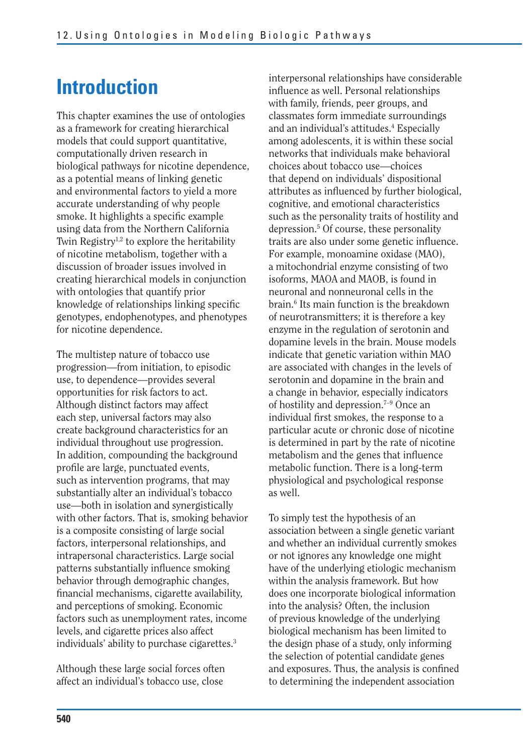# **Introduction**

This chapter examines the use of ontologies as a framework for creating hierarchical models that could support quantitative, computationally driven research in biological pathways for nicotine dependence, as a potential means of linking genetic and environmental factors to yield a more accurate understanding of why people smoke. It highlights a specific example using data from the Northern California Twin Registry<sup>1,2</sup> to explore the heritability of nicotine metabolism, together with a discussion of broader issues involved in creating hierarchical models in conjunction with ontologies that quantify prior knowledge of relationships linking specific genotypes, endophenotypes, and phenotypes for nicotine dependence.

The multistep nature of tobacco use progression—from initiation, to episodic use, to dependence—provides several opportunities for risk factors to act. Although distinct factors may affect each step, universal factors may also create background characteristics for an individual throughout use progression. In addition, compounding the background profile are large, punctuated events, such as intervention programs, that may substantially alter an individual's tobacco use—both in isolation and synergistically with other factors. That is, smoking behavior is a composite consisting of large social factors, interpersonal relationships, and intrapersonal characteristics. Large social patterns substantially influence smoking behavior through demographic changes, financial mechanisms, cigarette availability, and perceptions of smoking. Economic factors such as unemployment rates, income levels, and cigarette prices also affect individuals' ability to purchase cigarettes.3

Although these large social forces often affect an individual's tobacco use, close

interpersonal relationships have considerable influence as well. Personal relationships with family, friends, peer groups, and classmates form immediate surroundings and an individual's attitudes.4 Especially among adolescents, it is within these social networks that individuals make behavioral choices about tobacco use—choices that depend on individuals' dispositional attributes as influenced by further biological, cognitive, and emotional characteristics such as the personality traits of hostility and depression.5 Of course, these personality traits are also under some genetic influence. For example, monoamine oxidase (MAO), a mitochondrial enzyme consisting of two isoforms, MAOA and MAOB, is found in neuronal and nonneuronal cells in the brain.6 Its main function is the breakdown of neurotransmitters; it is therefore a key enzyme in the regulation of serotonin and dopamine levels in the brain. Mouse models indicate that genetic variation within MAO are associated with changes in the levels of serotonin and dopamine in the brain and a change in behavior, especially indicators of hostility and depression.7–9 Once an individual first smokes, the response to a particular acute or chronic dose of nicotine is determined in part by the rate of nicotine metabolism and the genes that influence metabolic function. There is a long-term physiological and psychological response as well.

To simply test the hypothesis of an association between a single genetic variant and whether an individual currently smokes or not ignores any knowledge one might have of the underlying etiologic mechanism within the analysis framework. But how does one incorporate biological information into the analysis? Often, the inclusion of previous knowledge of the underlying biological mechanism has been limited to the design phase of a study, only informing the selection of potential candidate genes and exposures. Thus, the analysis is confined to determining the independent association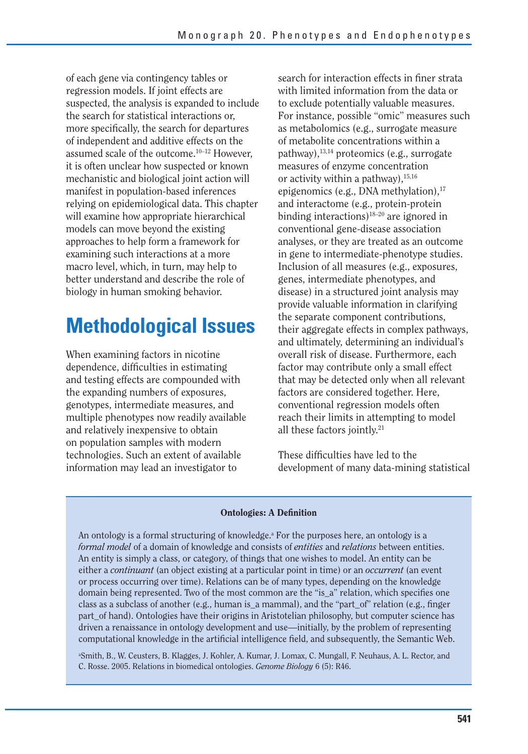of each gene via contingency tables or regression models. If joint effects are suspected, the analysis is expanded to include the search for statistical interactions or, more specifically, the search for departures of independent and additive effects on the assumed scale of the outcome.10–12 However, it is often unclear how suspected or known mechanistic and biological joint action will manifest in population-based inferences relying on epidemiological data. This chapter will examine how appropriate hierarchical models can move beyond the existing approaches to help form a framework for examining such interactions at a more macro level, which, in turn, may help to better understand and describe the role of biology in human smoking behavior.

# **Methodological Issues**

When examining factors in nicotine dependence, difficulties in estimating and testing effects are compounded with the expanding numbers of exposures, genotypes, intermediate measures, and multiple phenotypes now readily available and relatively inexpensive to obtain on population samples with modern technologies. Such an extent of available information may lead an investigator to

search for interaction effects in finer strata with limited information from the data or to exclude potentially valuable measures. For instance, possible "omic" measures such as metabolomics (e.g., surrogate measure of metabolite concentrations within a pathway), $^{13,14}$  proteomics (e.g., surrogate measures of enzyme concentration or activity within a pathway),  $15,16$ epigenomics (e.g., DNA methylation), $17$ and interactome (e.g., protein-protein binding interactions)18–20 are ignored in conventional gene-disease association analyses, or they are treated as an outcome in gene to intermediate-phenotype studies. Inclusion of all measures (e.g., exposures, genes, intermediate phenotypes, and disease) in a structured joint analysis may provide valuable information in clarifying the separate component contributions, their aggregate effects in complex pathways, and ultimately, determining an individual's overall risk of disease. Furthermore, each factor may contribute only a small effect that may be detected only when all relevant factors are considered together. Here, conventional regression models often reach their limits in attempting to model all these factors jointly.21

These difficulties have led to the development of many data-mining statistical

#### **Ontologies: A Definition**

An ontology is a formal structuring of knowledge.<sup>a</sup> For the purposes here, an ontology is a *formal model* of a domain of knowledge and consists of *entities* and *relations* between entities. An entity is simply a class, or category, of things that one wishes to model. An entity can be either a *continuant* (an object existing at a particular point in time) or an *occurrent* (an event or process occurring over time). Relations can be of many types, depending on the knowledge domain being represented. Two of the most common are the "is\_a" relation, which specifies one class as a subclass of another (e.g., human is\_a mammal), and the "part\_of" relation (e.g., finger part of hand). Ontologies have their origins in Aristotelian philosophy, but computer science has driven a renaissance in ontology development and use—initially, by the problem of representing computational knowledge in the artificial intelligence field, and subsequently, the Semantic Web.

a Smith, B., W. Ceusters, B. Klagges, J. Kohler, A. Kumar, J. Lomax, C. Mungall, F. Neuhaus, A. L. Rector, and C. Rosse. 2005. Relations in biomedical ontologies. *Genome Biology* 6 (5): R46.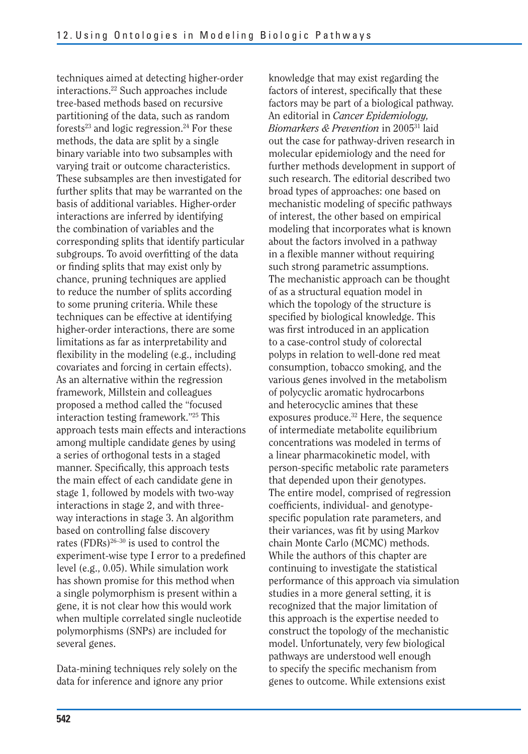techniques aimed at detecting higher-order interactions.22 Such approaches include tree-based methods based on recursive partitioning of the data, such as random forests<sup>23</sup> and logic regression.<sup>24</sup> For these methods, the data are split by a single binary variable into two subsamples with varying trait or outcome characteristics. These subsamples are then investigated for further splits that may be warranted on the basis of additional variables. Higher-order interactions are inferred by identifying the combination of variables and the corresponding splits that identify particular subgroups. To avoid overfitting of the data or finding splits that may exist only by chance, pruning techniques are applied to reduce the number of splits according to some pruning criteria. While these techniques can be effective at identifying higher-order interactions, there are some limitations as far as interpretability and flexibility in the modeling (e.g., including covariates and forcing in certain effects). As an alternative within the regression framework, Millstein and colleagues proposed a method called the "focused interaction testing framework."25 This approach tests main effects and interactions among multiple candidate genes by using a series of orthogonal tests in a staged manner. Specifically, this approach tests the main effect of each candidate gene in stage 1, followed by models with two-way interactions in stage 2, and with threeway interactions in stage 3. An algorithm based on controlling false discovery rates (FDRs) $^{26-30}$  is used to control the experiment-wise type I error to a predefined level (e.g., 0.05). While simulation work has shown promise for this method when a single polymorphism is present within a gene, it is not clear how this would work when multiple correlated single nucleotide polymorphisms (SNPs) are included for several genes.

Data-mining techniques rely solely on the data for inference and ignore any prior

knowledge that may exist regarding the factors of interest, specifically that these factors may be part of a biological pathway. An editorial in *Cancer Epidemiology, Biomarkers & Prevention* in 200531 laid out the case for pathway-driven research in molecular epidemiology and the need for further methods development in support of such research. The editorial described two broad types of approaches: one based on mechanistic modeling of specific pathways of interest, the other based on empirical modeling that incorporates what is known about the factors involved in a pathway in a flexible manner without requiring such strong parametric assumptions. The mechanistic approach can be thought of as a structural equation model in which the topology of the structure is specified by biological knowledge. This was first introduced in an application to a case-control study of colorectal polyps in relation to well-done red meat consumption, tobacco smoking, and the various genes involved in the metabolism of polycyclic aromatic hydrocarbons and heterocyclic amines that these exposures produce.32 Here, the sequence of intermediate metabolite equilibrium concentrations was modeled in terms of a linear pharmacokinetic model, with person-specific metabolic rate parameters that depended upon their genotypes. The entire model, comprised of regression coefficients, individual- and genotypespecific population rate parameters, and their variances, was fit by using Markov chain Monte Carlo (MCMC) methods. While the authors of this chapter are continuing to investigate the statistical performance of this approach via simulation studies in a more general setting, it is recognized that the major limitation of this approach is the expertise needed to construct the topology of the mechanistic model. Unfortunately, very few biological pathways are understood well enough to specify the specific mechanism from genes to outcome. While extensions exist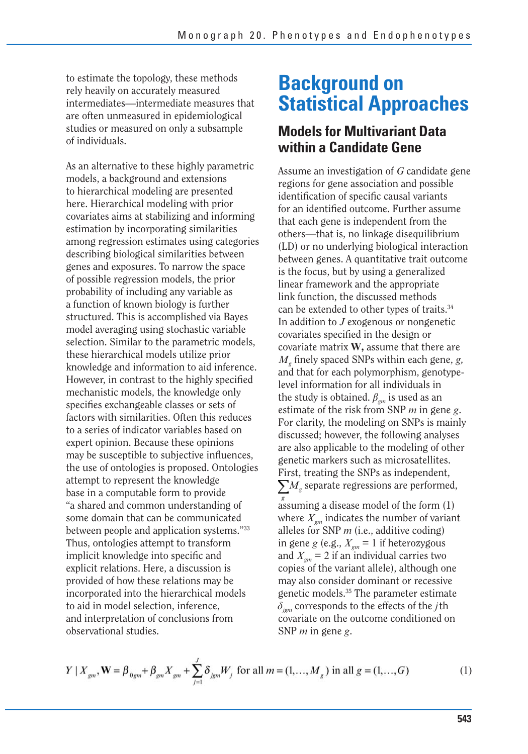to estimate the topology, these methods rely heavily on accurately measured intermediates—intermediate measures that are often unmeasured in epidemiological studies or measured on only a subsample of individuals.

As an alternative to these highly parametric models, a background and extensions to hierarchical modeling are presented here. Hierarchical modeling with prior covariates aims at stabilizing and informing estimation by incorporating similarities among regression estimates using categories describing biological similarities between genes and exposures. To narrow the space of possible regression models, the prior probability of including any variable as a function of known biology is further structured. This is accomplished via Bayes model averaging using stochastic variable selection. Similar to the parametric models, these hierarchical models utilize prior knowledge and information to aid inference. However, in contrast to the highly specified mechanistic models, the knowledge only specifies exchangeable classes or sets of factors with similarities. Often this reduces to a series of indicator variables based on expert opinion. Because these opinions may be susceptible to subjective influences, the use of ontologies is proposed. Ontologies attempt to represent the knowledge base in a computable form to provide "a shared and common understanding of some domain that can be communicated between people and application systems."33 Thus, ontologies attempt to transform implicit knowledge into specific and explicit relations. Here, a discussion is provided of how these relations may be incorporated into the hierarchical models to aid in model selection, inference, and interpretation of conclusions from observational studies.

## **Background on Statistical Approaches**

## **Models for Multivariant Data within a Candidate Gene**

Assume an investigation of *G* candidate gene regions for gene association and possible identification of specific causal variants for an identified outcome. Further assume that each gene is independent from the others—that is, no linkage disequilibrium (LD) or no underlying biological interaction between genes. A quantitative trait outcome is the focus, but by using a generalized linear framework and the appropriate link function, the discussed methods can be extended to other types of traits.<sup>34</sup> In addition to *J* exogenous or nongenetic covariates specified in the design or covariate matrix **W,** assume that there are *Mg* finely spaced SNPs within each gene, *g,*  and that for each polymorphism, genotypelevel information for all individuals in the study is obtained.  $\beta_{\text{gm}}$  is used as an estimate of the risk from SNP *m* in gene *g*. For clarity, the modeling on SNPs is mainly discussed; however, the following analyses are also applicable to the modeling of other genetic markers such as microsatellites. First, treating the SNPs as independent,  $\sum M_{g}$  separate regressions are performed,

assuming a disease model of the form (1) where  $X_{gm}$  indicates the number of variant alleles for SNP *m* (i.e., additive coding) in gene *g* (e.g.,  $X_{gm} = 1$  if heterozygous and  $X_{\text{em}} = 2$  if an individual carries two copies of the variant allele), although one may also consider dominant or recessive genetic models.35 The parameter estimate  $\delta_{\text{igm}}$  corresponds to the effects of the *j*th covariate on the outcome conditioned on SNP *m* in gene *g*.

$$
Y | X_{gm}, \mathbf{W} = \beta_{0gm} + \beta_{gm} X_{gm} + \sum_{j=1}^{J} \delta_{jgm} W_j \text{ for all } m = (1, ..., M_g) \text{ in all } g = (1, ..., G)
$$
 (1)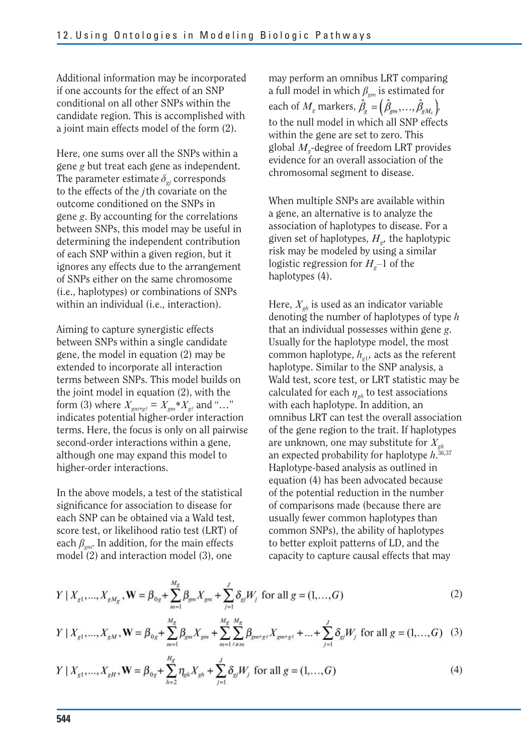Additional information may be incorporated if one accounts for the effect of an SNP conditional on all other SNPs within the candidate region. This is accomplished with a joint main effects model of the form (2).

Here, one sums over all the SNPs within a gene *g* but treat each gene as independent. The parameter estimate  $\delta_{gi}$  corresponds to the effects of the *j* th covariate on the outcome conditioned on the SNPs in gene *g*. By accounting for the correlations between SNPs, this model may be useful in determining the independent contribution of each SNP within a given region, but it ignores any effects due to the arrangement of SNPs either on the same chromosome (i.e., haplotypes) or combinations of SNPs within an individual (i.e., interaction).

Aiming to capture synergistic effects between SNPs within a single candidate gene, the model in equation (2) may be extended to incorporate all interaction terms between SNPs. This model builds on the joint model in equation (2), with the form (3) where  $X_{gm*g\ell} = X_{gm} * X_{g\ell}$  and "..." indicates potential higher-order interaction terms. Here, the focus is only on all pairwise second-order interactions within a gene, although one may expand this model to higher-order interactions.

In the above models, a test of the statistical significance for association to disease for each SNP can be obtained via a Wald test, score test, or likelihood ratio test (LRT) of each  $\beta_{\scriptscriptstyle{gm}}$ . In addition, for the main effects model (2) and interaction model (3), one

may perform an omnibus LRT comparing a full model in which  $\beta_{cm}$  is estimated for each of  $M_g$  markers,  $\hat{\beta}_g = (\hat{\beta}_{gm}, \dots, \hat{\beta}_{gM_g})$ , to the null model in which all SNP effects within the gene are set to zero. This global *Mg*-degree of freedom LRT provides evidence for an overall association of the chromosomal segment to disease.

When multiple SNPs are available within a gene, an alternative is to analyze the association of haplotypes to disease. For a given set of haplotypes,  $H<sub>g</sub>$ , the haplotypic risk may be modeled by using a similar logistic regression for  $H<sub>g</sub>$ –1 of the haplotypes (4).

Here,  $X_{gh}$  is used as an indicator variable denoting the number of haplotypes of type *h*  that an individual possesses within gene *g*. Usually for the haplotype model, the most common haplotype,  $h_{\sigma1}$ , acts as the referent haplotype. Similar to the SNP analysis, a Wald test, score test, or LRT statistic may be calculated for each  $\eta_{gh}$  to test associations with each haplotype. In addition, an omnibus LRT can test the overall association of the gene region to the trait. If haplotypes are unknown, one may substitute for *Xgh*  an expected probability for haplotype  $h^{36,37}$ Haplotype-based analysis as outlined in equation (4) has been advocated because of the potential reduction in the number of comparisons made (because there are usually fewer common haplotypes than common SNPs), the ability of haplotypes to better exploit patterns of LD, and the capacity to capture causal effects that may

$$
Y | X_{g1},...,X_{gM_g}, \mathbf{W} = \beta_{0g} + \sum_{m=1}^{M_g} \beta_{gm} X_{gm} + \sum_{j=1}^{J} \delta_{gj} W_j \text{ for all } g = (1,...,G)
$$
 (2)

$$
Y | X_{g1},...,X_{gM}, \mathbf{W} = \beta_{0g} + \sum_{m=1}^{M_g} \beta_{gm} X_{gm} + \sum_{m=1}^{M_g} \sum_{\ell \neq m}^{M_g} \beta_{gm \cdot g \ell} X_{gm \cdot g \ell} + ... + \sum_{j=1}^{J} \delta_{gj} W_j \text{ for all } g = (1,...,G) \quad (3)
$$

$$
Y \mid X_{g1}, \dots, X_{gH}, \mathbf{W} = \beta_{0g} + \sum_{h=2}^{H_g} \eta_{gh} X_{gh} + \sum_{j=1}^{J} \delta_{gj} W_j \text{ for all } g = (1, \dots, G)
$$
 (4)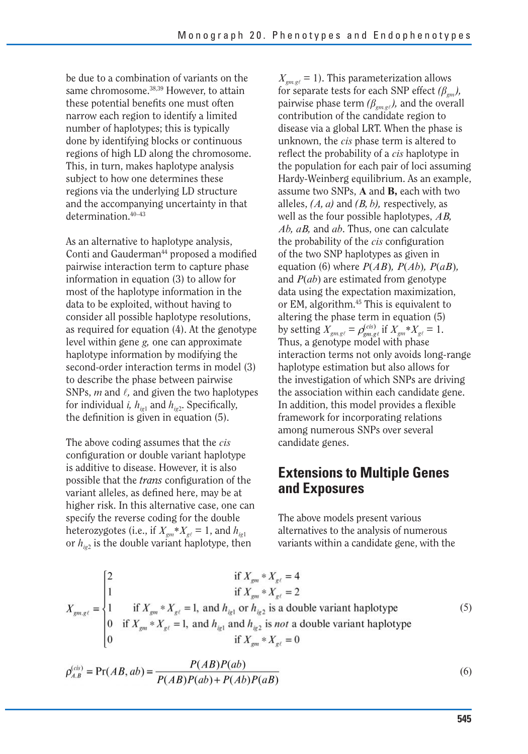be due to a combination of variants on the same chromosome.38,39 However, to attain these potential benefits one must often narrow each region to identify a limited number of haplotypes; this is typically done by identifying blocks or continuous regions of high LD along the chromosome. This, in turn, makes haplotype analysis subject to how one determines these regions via the underlying LD structure and the accompanying uncertainty in that determination.40–43

As an alternative to haplotype analysis, Conti and Gauderman<sup>44</sup> proposed a modified pairwise interaction term to capture phase information in equation (3) to allow for most of the haplotype information in the data to be exploited, without having to consider all possible haplotype resolutions, as required for equation (4). At the genotype level within gene *g,* one can approximate haplotype information by modifying the second-order interaction terms in model (3) to describe the phase between pairwise SNPs,  $m$  and  $\ell$ , and given the two haplotypes for individual *i*,  $h_{i\epsilon 1}$  and  $h_{i\epsilon 2}$ . Specifically, the definition is given in equation (5).

The above coding assumes that the *cis*  configuration or double variant haplotype is additive to disease. However, it is also possible that the *trans* configuration of the variant alleles, as defined here, may be at higher risk. In this alternative case, one can specify the reverse coding for the double heterozygotes (i.e., if  $X_{gm} * X_{gt} = 1$ , and  $h_{jet}$ ) or  $h_{i\epsilon 2}$  is the double variant haplotype, then

 $X_{\text{cm,gl}} = 1$ ). This parameterization allows for separate tests for each SNP effect  $(\beta_{\emph{om}})$ , pairwise phase term  $(\beta_{em,gl})$ , and the overall contribution of the candidate region to disease via a global LRT. When the phase is unknown, the *cis* phase term is altered to reflect the probability of a *cis* haplotype in the population for each pair of loci assuming Hardy-Weinberg equilibrium. As an example, assume two SNPs, **A** and **B,** each with two alleles,  $(A, a)$  and  $(B, b)$ , respectively, as well as the four possible haplotypes, *AB, Ab, aB,* and *ab*. Thus, one can calculate the probability of the *cis* configuration of the two SNP haplotypes as given in equation (6) where  $P(AB)$ ,  $P(Ab)$ ,  $P(aB)$ , and *P*(*ab*) are estimated from genotype data using the expectation maximization, or EM, algorithm.45 This is equivalent to altering the phase term in equation (5) by setting  $X_{gmgt} = \rho_{gmgt}^{(cis)}$  if  $X_{gm} * X_{gt} = 1$ . Thus, a genotype model with phase interaction terms not only avoids long-range haplotype estimation but also allows for the investigation of which SNPs are driving the association within each candidate gene. In addition, this model provides a flexible framework for incorporating relations among numerous SNPs over several candidate genes.

## **Extensions to Multiple Genes and Exposures**

The above models present various alternatives to the analysis of numerous variants within a candidate gene, with the

$$
X_{gm,gt} = \begin{cases} 2 & \text{if } X_{gm} * X_{gt} = 4 \\ 1 & \text{if } X_{gm} * X_{gt} = 2 \\ 1 & \text{if } X_{gm} * X_{gt} = 1, \text{ and } h_{lg1} \text{ or } h_{ig2} \text{ is a double variant haplotype} \\ 0 & \text{if } X_{gm} * X_{gt} = 1, \text{ and } h_{lg1} \text{ and } h_{ig2} \text{ is not a double variant haplotype} \\ 0 & \text{if } X_{gm} * X_{gt} = 0 \end{cases} \tag{5}
$$

$$
\rho_{A,B}^{(cis)} = \Pr(AB, ab) = \frac{P(AB)P(ab)}{P(AB)P(ab) + P(Ab)P(aB)}
$$
(6)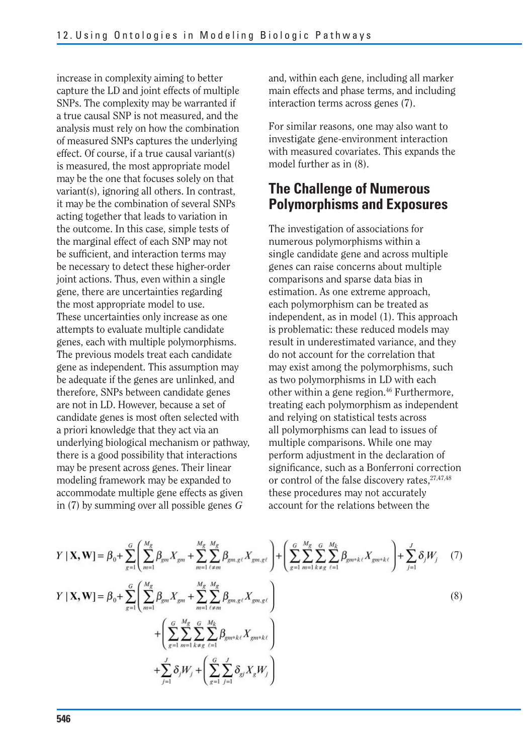increase in complexity aiming to better capture the LD and joint effects of multiple SNPs. The complexity may be warranted if a true causal SNP is not measured, and the analysis must rely on how the combination of measured SNPs captures the underlying effect. Of course, if a true causal variant(s) is measured, the most appropriate model may be the one that focuses solely on that variant(s), ignoring all others. In contrast, it may be the combination of several SNPs acting together that leads to variation in the outcome. In this case, simple tests of the marginal effect of each SNP may not be sufficient, and interaction terms may be necessary to detect these higher-order joint actions. Thus, even within a single gene, there are uncertainties regarding the most appropriate model to use. These uncertainties only increase as one attempts to evaluate multiple candidate genes, each with multiple polymorphisms. The previous models treat each candidate gene as independent. This assumption may be adequate if the genes are unlinked, and therefore, SNPs between candidate genes are not in LD. However, because a set of candidate genes is most often selected with a priori knowledge that they act via an underlying biological mechanism or pathway, there is a good possibility that interactions may be present across genes. Their linear modeling framework may be expanded to accommodate multiple gene effects as given in (7) by summing over all possible genes *G* 

and, within each gene, including all marker main effects and phase terms, and including interaction terms across genes (7).

For similar reasons, one may also want to investigate gene-environment interaction with measured covariates. This expands the model further as in (8).

## **The Challenge of Numerous Polymorphisms and Exposures**

The investigation of associations for numerous polymorphisms within a single candidate gene and across multiple genes can raise concerns about multiple comparisons and sparse data bias in estimation. As one extreme approach, each polymorphism can be treated as independent, as in model (1). This approach is problematic: these reduced models may result in underestimated variance, and they do not account for the correlation that may exist among the polymorphisms, such as two polymorphisms in LD with each other within a gene region.<sup>46</sup> Furthermore, treating each polymorphism as independent and relying on statistical tests across all polymorphisms can lead to issues of multiple comparisons. While one may perform adjustment in the declaration of significance, such as a Bonferroni correction or control of the false discovery rates,  $27,47,48$ these procedures may not accurately account for the relations between the

$$
Y | \mathbf{X}, \mathbf{W} | = \beta_{0} + \sum_{g=1}^{G} \left( \sum_{m=1}^{M_{g}} \beta_{gm} X_{gm} + \sum_{m=1}^{M_{g}} \sum_{\ell \neq m}^{M_{g}} \beta_{gm, g\ell} X_{gm, g\ell} \right) + \left( \sum_{g=1}^{G} \sum_{m=1}^{M_{g}} \sum_{k \neq g}^{G} \sum_{\ell=1}^{M_{k}} \beta_{gm \cdot k\ell} X_{gm \cdot k\ell} \right) + \sum_{j=1}^{J} \delta_{j} W_{j} \quad (7)
$$
  
\n
$$
Y | \mathbf{X}, \mathbf{W} | = \beta_{0} + \sum_{g=1}^{G} \left( \sum_{m=1}^{M_{g}} \beta_{gm} X_{gm} + \sum_{m=1}^{M_{g}} \sum_{\ell \neq m}^{M_{g}} \beta_{gm, g\ell} X_{gm, g\ell} \right) + \left( \sum_{g=1}^{G} \sum_{m=1}^{M_{g}} \sum_{k \neq g}^{G} \sum_{\ell=1}^{M_{k}} \beta_{gm \cdot k\ell} X_{gm \cdot k\ell} \right) + \sum_{j=1}^{J} \delta_{j} W_{j} + \left( \sum_{g=1}^{G} \sum_{j=1}^{J} \delta_{gj} X_{g} W_{j} \right)
$$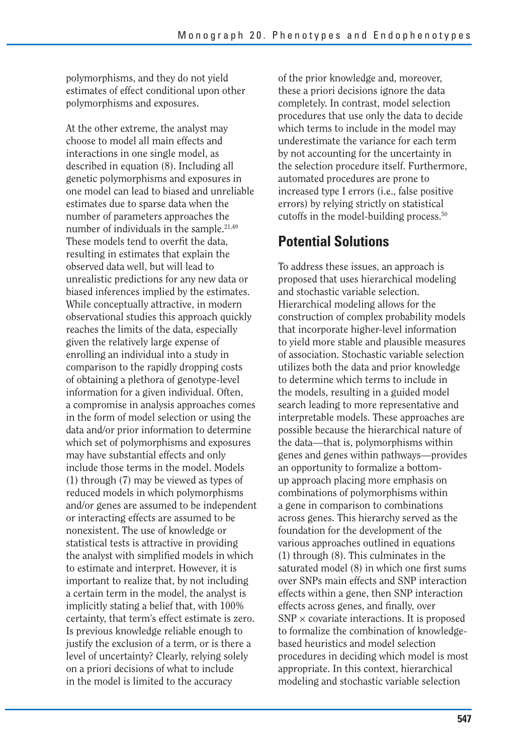polymorphisms, and they do not yield estimates of effect conditional upon other polymorphisms and exposures.

At the other extreme, the analyst may choose to model all main effects and interactions in one single model, as described in equation (8). Including all genetic polymorphisms and exposures in one model can lead to biased and unreliable estimates due to sparse data when the number of parameters approaches the number of individuals in the sample.<sup>21,49</sup> These models tend to overfit the data, resulting in estimates that explain the observed data well, but will lead to unrealistic predictions for any new data or biased inferences implied by the estimates. While conceptually attractive, in modern observational studies this approach quickly reaches the limits of the data, especially given the relatively large expense of enrolling an individual into a study in comparison to the rapidly dropping costs of obtaining a plethora of genotype-level information for a given individual. Often, a compromise in analysis approaches comes in the form of model selection or using the data and/or prior information to determine which set of polymorphisms and exposures may have substantial effects and only include those terms in the model. Models (1) through (7) may be viewed as types of reduced models in which polymorphisms and/or genes are assumed to be independent or interacting effects are assumed to be nonexistent. The use of knowledge or statistical tests is attractive in providing the analyst with simplified models in which to estimate and interpret. However, it is important to realize that, by not including a certain term in the model, the analyst is implicitly stating a belief that, with 100% certainty, that term's effect estimate is zero. Is previous knowledge reliable enough to justify the exclusion of a term, or is there a level of uncertainty? Clearly, relying solely on a priori decisions of what to include in the model is limited to the accuracy

of the prior knowledge and, moreover, these a priori decisions ignore the data completely. In contrast, model selection procedures that use only the data to decide which terms to include in the model may underestimate the variance for each term by not accounting for the uncertainty in the selection procedure itself. Furthermore, automated procedures are prone to increased type I errors (i.e., false positive errors) by relying strictly on statistical cutoffs in the model-building process.50

## **Potential Solutions**

To address these issues, an approach is proposed that uses hierarchical modeling and stochastic variable selection. Hierarchical modeling allows for the construction of complex probability models that incorporate higher-level information to yield more stable and plausible measures of association. Stochastic variable selection utilizes both the data and prior knowledge to determine which terms to include in the models, resulting in a guided model search leading to more representative and interpretable models. These approaches are possible because the hierarchical nature of the data—that is, polymorphisms within genes and genes within pathways—provides an opportunity to formalize a bottomup approach placing more emphasis on combinations of polymorphisms within a gene in comparison to combinations across genes. This hierarchy served as the foundation for the development of the various approaches outlined in equations (1) through (8). This culminates in the saturated model (8) in which one first sums over SNPs main effects and SNP interaction effects within a gene, then SNP interaction effects across genes, and finally, over  $SNP \times covariate$  interactions. It is proposed to formalize the combination of knowledgebased heuristics and model selection procedures in deciding which model is most appropriate. In this context, hierarchical modeling and stochastic variable selection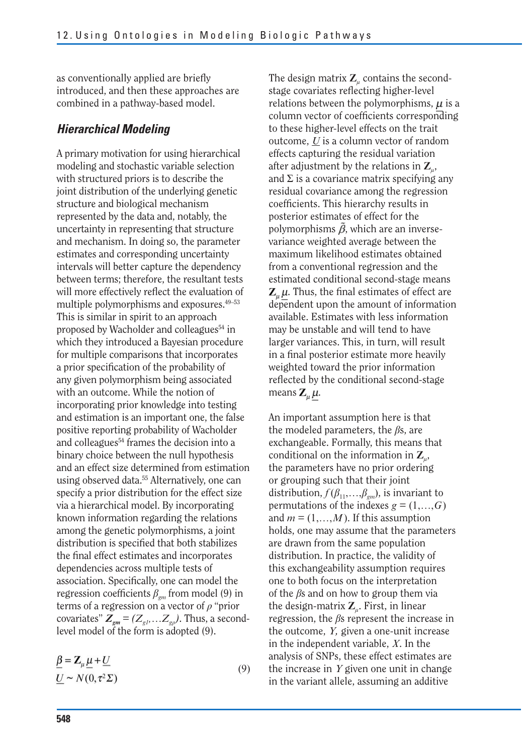as conventionally applied are briefly introduced, and then these approaches are combined in a pathway-based model.

#### *Hierarchical Modeling*

A primary motivation for using hierarchical modeling and stochastic variable selection with structured priors is to describe the joint distribution of the underlying genetic structure and biological mechanism represented by the data and, notably, the uncertainty in representing that structure and mechanism. In doing so, the parameter estimates and corresponding uncertainty intervals will better capture the dependency between terms; therefore, the resultant tests will more effectively reflect the evaluation of multiple polymorphisms and exposures.49–53 This is similar in spirit to an approach proposed by Wacholder and colleagues<sup>54</sup> in which they introduced a Bayesian procedure for multiple comparisons that incorporates a prior specification of the probability of any given polymorphism being associated with an outcome. While the notion of incorporating prior knowledge into testing and estimation is an important one, the false positive reporting probability of Wacholder and colleagues<sup>54</sup> frames the decision into a binary choice between the null hypothesis and an effect size determined from estimation using observed data.<sup>55</sup> Alternatively, one can specify a prior distribution for the effect size via a hierarchical model. By incorporating known information regarding the relations among the genetic polymorphisms, a joint distribution is specified that both stabilizes the final effect estimates and incorporates dependencies across multiple tests of association. Specifically, one can model the regression coefficients  $\beta_{\text{em}}$  from model (9) in terms of a regression on a vector of *q* "prior covariates"  $\mathbb{Z}_{gm} = (Z_{gh},...Z_{gp})$ . Thus, a secondlevel model of the form is adopted (9).

$$
\underline{\beta} = \mathbf{Z}_{\mu} \underline{\mu} + \underline{U} \underline{U} \sim N(0, \tau^2 \Sigma)
$$
\n(9)

The design matrix  $\mathbf{Z}_u$  contains the secondstage covariates reflecting higher-level relations between the polymorphisms,  $\mu$  is a column vector of coefficients corresponding to these higher-level effects on the trait outcome, *U* is a column vector of random effects capturing the residual variation after adjustment by the relations in  $\mathbb{Z}_n$ , and  $\Sigma$  is a covariance matrix specifying any residual covariance among the regression coefficients. This hierarchy results in posterior estimates of effect for the polymorphisms  $\tilde{\beta}$ , which are an inversevariance weighted average between the maximum likelihood estimates obtained from a conventional regression and the estimated conditional second-stage means  $\mathbf{Z}_{\mu}\mu$ . Thus, the final estimates of effect are dependent upon the amount of information available. Estimates with less information may be unstable and will tend to have larger variances. This, in turn, will result in a final posterior estimate more heavily weighted toward the prior information reflected by the conditional second-stage means  $\mathbf{Z}_u \mu$ .

An important assumption here is that the modeled parameters, the *b*s, are exchangeable. Formally, this means that conditional on the information in **Z***l*, the parameters have no prior ordering or grouping such that their joint distribution,  $f(\beta_{11},...,\beta_{cm})$ , is invariant to permutations of the indexes  $g = (1, \ldots, G)$ and  $m = (1, \ldots, M)$ . If this assumption holds, one may assume that the parameters are drawn from the same population distribution. In practice, the validity of this exchangeability assumption requires one to both focus on the interpretation of the  $\beta$ s and on how to group them via the design-matrix  $\mathbf{Z}_{\mu}$ . First, in linear regression, the *b*s represent the increase in the outcome, *Y,* given a one-unit increase in the independent variable, *X*. In the analysis of SNPs, these effect estimates are the increase in *Y* given one unit in change in the variant allele, assuming an additive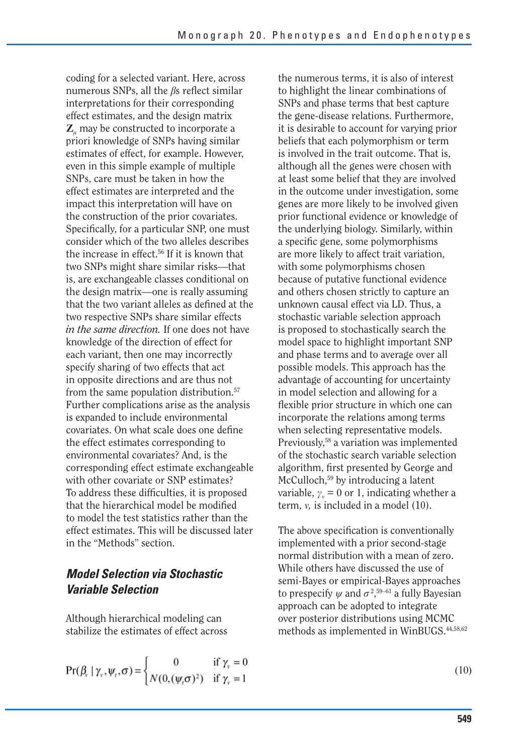coding for a selected variant. Here, across numerous SNPs, all the *ß*s reflect similar interpretations for their corresponding effect estimates, and the design matrix **Z***l* may be constructed to incorporate a priori knowledge of SNPs having similar estimates of effect, for example. However, even in this simple example of multiple SNPs, care must be taken in how the effect estimates are interpreted and the impact this interpretation will have on the construction of the prior covariates. Specifically, for a particular SNP, one must consider which of the two alleles describes the increase in effect.56 If it is known that two SNPs might share similar risks—that is, are exchangeable classes conditional on the design matrix—one is really assuming that the two variant alleles as defined at the two respective SNPs share similar effects *in the same direction.* If one does not have knowledge of the direction of effect for each variant, then one may incorrectly specify sharing of two effects that act in opposite directions and are thus not from the same population distribution.57 Further complications arise as the analysis is expanded to include environmental covariates. On what scale does one define the effect estimates corresponding to environmental covariates? And, is the corresponding effect estimate exchangeable with other covariate or SNP estimates? To address these difficulties, it is proposed that the hierarchical model be modified to model the test statistics rather than the effect estimates. This will be discussed later in the "Methods" section.

### *Model Selection via Stochastic Variable Selection*

Although hierarchical modeling can stabilize the estimates of effect across

$$
Pr(\beta_{v} | \gamma_{v}, \psi_{t}, \sigma) = \begin{cases} 0 & \text{if } \gamma_{v} = 0\\ N(0, (\psi_{t} \sigma)^{2}) & \text{if } \gamma_{v} = 1 \end{cases}
$$

the numerous terms, it is also of interest to highlight the linear combinations of SNPs and phase terms that best capture the gene-disease relations. Furthermore, it is desirable to account for varying prior beliefs that each polymorphism or term is involved in the trait outcome. That is, although all the genes were chosen with at least some belief that they are involved in the outcome under investigation, some genes are more likely to be involved given prior functional evidence or knowledge of the underlying biology. Similarly, within a specific gene, some polymorphisms are more likely to affect trait variation, with some polymorphisms chosen because of putative functional evidence and others chosen strictly to capture an unknown causal effect via LD. Thus, a stochastic variable selection approach is proposed to stochastically search the model space to highlight important SNP and phase terms and to average over all possible models. This approach has the advantage of accounting for uncertainty in model selection and allowing for a flexible prior structure in which one can incorporate the relations among terms when selecting representative models. Previously,58 a variation was implemented of the stochastic search variable selection algorithm, first presented by George and McCulloch,<sup>59</sup> by introducing a latent variable,  $\gamma_v = 0$  or 1, indicating whether a term,  $\nu$ , is included in a model  $(10)$ .

The above specification is conventionally implemented with a prior second-stage normal distribution with a mean of zero. While others have discussed the use of semi-Bayes or empirical-Bayes approaches to prespecify  $\psi$  and  $\sigma^2$ ,<sup>59–61</sup> a fully Bayesian approach can be adopted to integrate over posterior distributions using MCMC methods as implemented in WinBUGS.<sup>44,58,62</sup>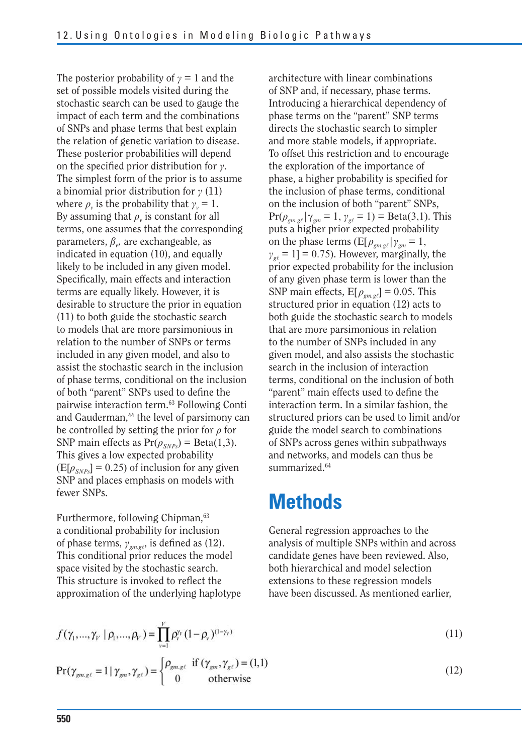The posterior probability of  $\gamma = 1$  and the set of possible models visited during the stochastic search can be used to gauge the impact of each term and the combinations of SNPs and phase terms that best explain the relation of genetic variation to disease. These posterior probabilities will depend on the specified prior distribution for  $\gamma$ . The simplest form of the prior is to assume a binomial prior distribution for  $\gamma$  (11) where  $\rho_v$  is the probability that  $\gamma_v = 1$ . By assuming that  $\rho$ <sup>*v*</sup> is constant for all terms, one assumes that the corresponding parameters,  $\beta_{\nu}$ , are exchangeable, as indicated in equation (10), and equally likely to be included in any given model. Specifically, main effects and interaction terms are equally likely. However, it is desirable to structure the prior in equation (11) to both guide the stochastic search to models that are more parsimonious in relation to the number of SNPs or terms included in any given model, and also to assist the stochastic search in the inclusion of phase terms, conditional on the inclusion of both "parent" SNPs used to define the pairwise interaction term.63 Following Conti and Gauderman,<sup>44</sup> the level of parsimony can be controlled by setting the prior for  $\rho$  for SNP main effects as  $Pr(\rho_{SNPs}) = Beta(1,3)$ . This gives a low expected probability  $(E[\rho_{SNP_S}] = 0.25)$  of inclusion for any given SNP and places emphasis on models with fewer SNPs.

Furthermore, following Chipman,<sup>63</sup> a conditional probability for inclusion of phase terms,  $\gamma_{gm,gt}$ , is defined as (12). This conditional prior reduces the model space visited by the stochastic search. This structure is invoked to reflect the approximation of the underlying haplotype

 $Pr(\rho_{gm, g\ell} | \gamma_{gm} = 1, \gamma_{g\ell} = 1) = Beta(3, 1)$ . This architecture with linear combinations of SNP and, if necessary, phase terms. Introducing a hierarchical dependency of phase terms on the "parent" SNP terms directs the stochastic search to simpler and more stable models, if appropriate. To offset this restriction and to encourage the exploration of the importance of phase, a higher probability is specified for the inclusion of phase terms, conditional on the inclusion of both "parent" SNPs, puts a higher prior expected probability on the phase terms  $(E[\rho_{gm,gt} | \gamma_{gm} = 1,$  $\gamma_{\gamma} = 1$ ] = 0.75). However, marginally, the prior expected probability for the inclusion of any given phase term is lower than the SNP main effects,  $E[\rho_{\text{g}_{max} \ell}] = 0.05$ . This structured prior in equation (12) acts to both guide the stochastic search to models that are more parsimonious in relation to the number of SNPs included in any given model, and also assists the stochastic search in the inclusion of interaction terms, conditional on the inclusion of both "parent" main effects used to define the interaction term. In a similar fashion, the structured priors can be used to limit and/or guide the model search to combinations of SNPs across genes within subpathways and networks, and models can thus be summarized.<sup>64</sup>

## **Methods**

General regression approaches to the analysis of multiple SNPs within and across candidate genes have been reviewed. Also, both hierarchical and model selection extensions to these regression models have been discussed. As mentioned earlier,

$$
f(\gamma_1, ..., \gamma_V \mid \rho_1, ..., \rho_V) = \prod_{v=1}^{V} \rho_v^{y_v} (1 - \rho_v)^{(1 - \gamma_V)}
$$
  
Pr( $\gamma_{gm,gt} = 1 \mid \gamma_{gm}, \gamma_{gt}) = \begin{cases} \rho_{gm,gt} & \text{if } (\gamma_{gm}, \gamma_{gt}) = (1,1) \\ 0 & \text{otherwise} \end{cases}$ 

$$
(11)
$$

(12)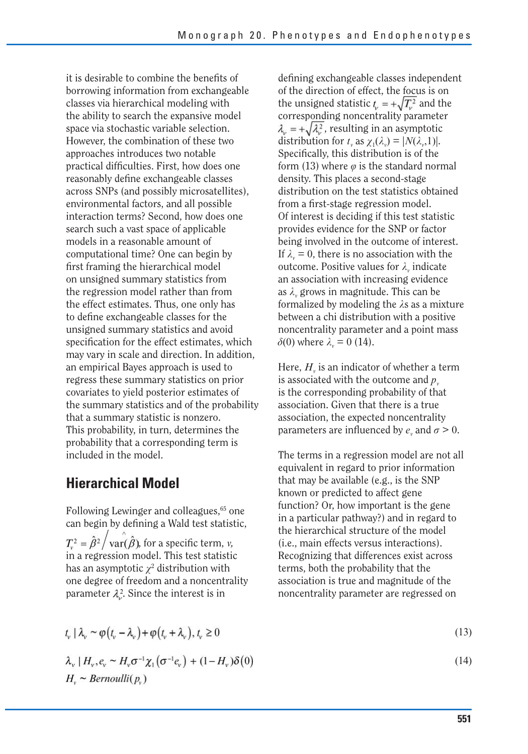it is desirable to combine the benefits of borrowing information from exchangeable classes via hierarchical modeling with the ability to search the expansive model space via stochastic variable selection. However, the combination of these two approaches introduces two notable practical difficulties. First, how does one reasonably define exchangeable classes across SNPs (and possibly microsatellites), environmental factors, and all possible interaction terms? Second, how does one search such a vast space of applicable models in a reasonable amount of computational time? One can begin by first framing the hierarchical model on unsigned summary statistics from the regression model rather than from the effect estimates. Thus, one only has to define exchangeable classes for the unsigned summary statistics and avoid specification for the effect estimates, which may vary in scale and direction. In addition, an empirical Bayes approach is used to regress these summary statistics on prior covariates to yield posterior estimates of the summary statistics and of the probability that a summary statistic is nonzero. This probability, in turn, determines the probability that a corresponding term is included in the model.

## **Hierarchical Model**

Following Lewinger and colleagues,<sup>65</sup> one can begin by defining a Wald test statistic,  $T_v^2 = \hat{\beta}^2 / \text{var}(\hat{\beta})$ , for a specific term, *v*, in a regression model. This test statistic has an asymptotic  $\chi^2$  distribution with one degree of freedom and a noncentrality parameter  $\lambda_{\nu}^2$ . Since the interest is in

defining exchangeable classes independent of the direction of effect, the focus is on the unsigned statistic 
$$
t_{\nu} = +\sqrt{T_{\nu}^2}
$$
 and the corresponding noncentrality parameter  $\lambda_{\nu} = +\sqrt{\lambda_{\nu}^2}$ , resulting in an asymptotic distribution for  $t_{\nu}$  as  $\chi_1(\lambda_{\nu}) = |N(\lambda_{\nu}, 1)|$ . Specifically, this distribution is of the form (13) where  $\varphi$  is the standard normal density. This places a second-stage distribution on the test statistics obtained from a first-stage regression model. Of interest is deciding if this test statistic provides evidence for the SNP or factor being involved in the outcome of interest. If  $\lambda_{\nu} = 0$ , there is no association with the outcome. Positive values for  $\lambda_{\nu}$  indicate an association with increasing evidence as  $\lambda_{\nu}$  grows in magnitude. This can be formalized by modeling the  $\lambda$ s as a mixture between a chi distribution with a positive noncentrality parameter and a point mass  $\delta(0)$  where  $\lambda_{\nu} = 0$  (14).

Here,  $H<sub>v</sub>$  is an indicator of whether a term is associated with the outcome and  $p_{\nu}$ is the corresponding probability of that association. Given that there is a true association, the expected noncentrality parameters are influenced by  $e_r$  and  $\sigma > 0$ .

The terms in a regression model are not all equivalent in regard to prior information that may be available (e.g., is the SNP known or predicted to affect gene function? Or, how important is the gene in a particular pathway?) and in regard to the hierarchical structure of the model (i.e., main effects versus interactions). Recognizing that differences exist across terms, both the probability that the association is true and magnitude of the noncentrality parameter are regressed on

$$
t_{v} | \lambda_{v} \sim \varphi(t_{v} - \lambda_{v}) + \varphi(t_{v} + \lambda_{v}), t_{v} \ge 0
$$

 $\lambda_v | H_v, e_v \sim H_v \sigma^{-1} \chi_1(\sigma^{-1} e_v) + (1 - H_v) \delta(0)$  $H_r \sim Bernoulli(p_r)$ 

$$
(13)
$$

(14)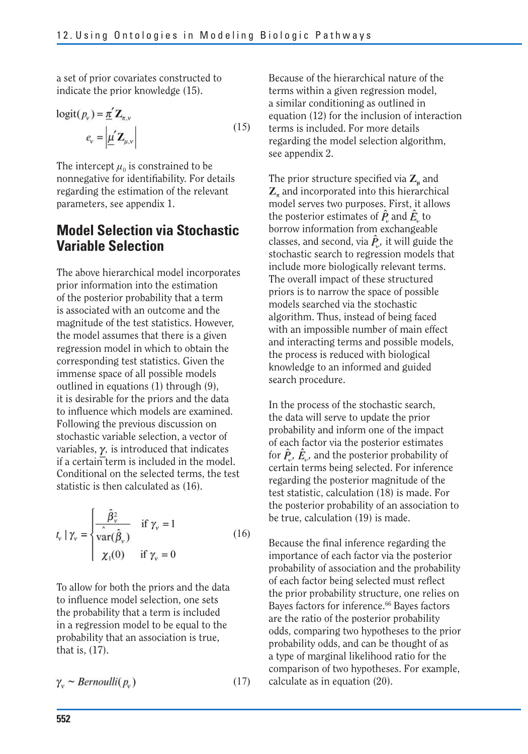a set of prior covariates constructed to indicate the prior knowledge (15).

$$
logit(P_v) = \underline{\pi}' \mathbf{Z}_{\pi,v}
$$
  
\n
$$
e_v = \left| \underline{\mu}' \mathbf{Z}_{\mu,v} \right|
$$
\n(15)

The intercept  $\mu_0$  is constrained to be nonnegative for identifiability. For details regarding the estimation of the relevant parameters, see appendix 1.

## **Model Selection via Stochastic Variable Selection**

The above hierarchical model incorporates prior information into the estimation of the posterior probability that a term is associated with an outcome and the magnitude of the test statistics. However, the model assumes that there is a given regression model in which to obtain the corresponding test statistics. Given the immense space of all possible models outlined in equations (1) through (9), it is desirable for the priors and the data to influence which models are examined. Following the previous discussion on stochastic variable selection, a vector of variables,  $\gamma$ , is introduced that indicates if a certain term is included in the model. Conditional on the selected terms, the test statistic is then calculated as (16).

$$
t_{v} | \gamma_{v} = \begin{cases} \frac{\hat{\beta}_{v}^{2}}{\hat{\text{var}}(\hat{\beta}_{v})} & \text{if } \gamma_{v} = 1\\ \frac{\hat{\text{var}}(\hat{\beta}_{v})}{\chi_{1}(0)} & \text{if } \gamma_{v} = 0 \end{cases}
$$
(16)

To allow for both the priors and the data to influence model selection, one sets the probability that a term is included in a regression model to be equal to the probability that an association is true, that is, (17).

$$
\gamma_{\nu} \sim Bernoulli(p_{\nu}) \tag{17}
$$

Because of the hierarchical nature of the terms within a given regression model, a similar conditioning as outlined in equation (12) for the inclusion of interaction terms is included. For more details regarding the model selection algorithm, see appendix 2.

The prior structure specified via  $Z_u$  and  $\mathbb{Z}_n$  and incorporated into this hierarchical model serves two purposes. First, it allows the posterior estimates of  $\hat{P}_a$  and  $\hat{E}_a$  to borrow information from exchangeable classes, and second, via  $\hat{P}_v$ , it will guide the stochastic search to regression models that include more biologically relevant terms. The overall impact of these structured priors is to narrow the space of possible models searched via the stochastic algorithm. Thus, instead of being faced with an impossible number of main effect and interacting terms and possible models, the process is reduced with biological knowledge to an informed and guided search procedure.

In the process of the stochastic search, the data will serve to update the prior probability and inform one of the impact of each factor via the posterior estimates for  $\hat{P}_\nu$ ,  $\hat{E}_\nu$ , and the posterior probability of certain terms being selected. For inference regarding the posterior magnitude of the test statistic, calculation (18) is made. For the posterior probability of an association to be true, calculation (19) is made.

Because the final inference regarding the importance of each factor via the posterior probability of association and the probability of each factor being selected must reflect the prior probability structure, one relies on Bayes factors for inference.<sup>66</sup> Bayes factors are the ratio of the posterior probability odds, comparing two hypotheses to the prior probability odds, and can be thought of as a type of marginal likelihood ratio for the comparison of two hypotheses. For example, calculate as in equation (20).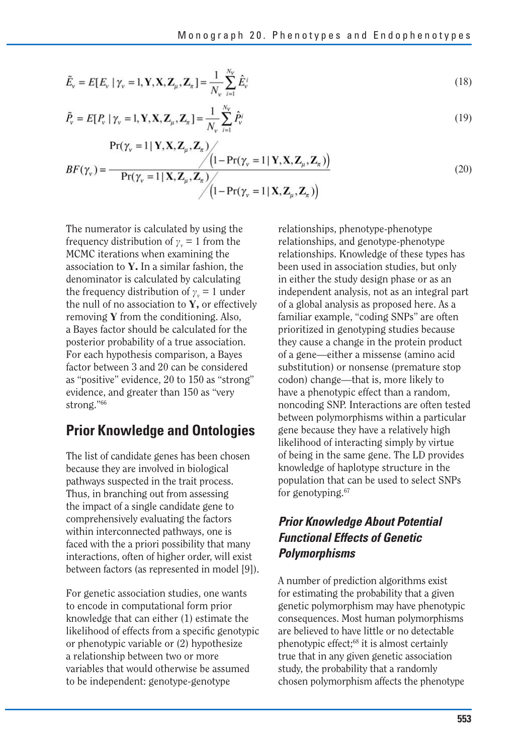$$
\tilde{E}_{\nu} = E[E_{\nu} \mid \gamma_{\nu} = 1, \mathbf{Y}, \mathbf{X}, \mathbf{Z}_{\mu}, \mathbf{Z}_{\pi}] = \frac{1}{N_{\nu}} \sum_{i=1}^{N_{\nu}} \hat{E}_{\nu}^{i}
$$
\n(18)

$$
\tilde{P}_{\mathbf{v}} = E[P_{\mathbf{v}} \mid \gamma_{\mathbf{v}} = 1, \mathbf{Y}, \mathbf{X}, \mathbf{Z}_{\mu}, \mathbf{Z}_{\pi}] = \frac{1}{N_{\mathbf{v}}} \sum_{i=1}^{N_{\mathbf{v}}} \hat{P}_{\mathbf{v}}^{i}
$$
\n(19)

$$
Pr(\gamma_v = 1 | \mathbf{Y}, \mathbf{X}, \mathbf{Z}_{\mu}, \mathbf{Z}_{\pi})
$$
\n
$$
BF(\gamma_v) = \frac{\sqrt{\left(1 - \Pr(\gamma_v = 1 | \mathbf{Y}, \mathbf{X}, \mathbf{Z}_{\mu}, \mathbf{Z}_{\pi})\right)}}{\Pr(\gamma_v = 1 | \mathbf{X}, \mathbf{Z}_{\mu}, \mathbf{Z}_{\pi})}
$$
\n
$$
(20)
$$

The numerator is calculated by using the frequency distribution of  $\gamma$ <sup>*v*</sup> = 1 from the MCMC iterations when examining the association to **Y.** In a similar fashion, the denominator is calculated by calculating the frequency distribution of  $\gamma_v = 1$  under the null of no association to **Y,** or effectively removing **Y** from the conditioning. Also, a Bayes factor should be calculated for the posterior probability of a true association. For each hypothesis comparison, a Bayes factor between 3 and 20 can be considered as "positive" evidence, 20 to 150 as "strong" evidence, and greater than 150 as "very strong."66

### **Prior Knowledge and Ontologies**

The list of candidate genes has been chosen because they are involved in biological pathways suspected in the trait process. Thus, in branching out from assessing the impact of a single candidate gene to comprehensively evaluating the factors within interconnected pathways, one is faced with the a priori possibility that many interactions, often of higher order, will exist between factors (as represented in model [9]).

For genetic association studies, one wants to encode in computational form prior knowledge that can either (1) estimate the likelihood of effects from a specific genotypic or phenotypic variable or (2) hypothesize a relationship between two or more variables that would otherwise be assumed to be independent: genotype-genotype

relationships, phenotype-phenotype relationships, and genotype-phenotype relationships. Knowledge of these types has been used in association studies, but only in either the study design phase or as an independent analysis, not as an integral part of a global analysis as proposed here. As a familiar example, "coding SNPs" are often prioritized in genotyping studies because they cause a change in the protein product of a gene—either a missense (amino acid substitution) or nonsense (premature stop codon) change—that is, more likely to have a phenotypic effect than a random, noncoding SNP. Interactions are often tested between polymorphisms within a particular gene because they have a relatively high likelihood of interacting simply by virtue of being in the same gene. The LD provides knowledge of haplotype structure in the population that can be used to select SNPs for genotyping.<sup>67</sup>

### *Prior Knowledge About Potential Functional Effects of Genetic Polymorphisms*

A number of prediction algorithms exist for estimating the probability that a given genetic polymorphism may have phenotypic consequences. Most human polymorphisms are believed to have little or no detectable phenotypic effect;68 it is almost certainly true that in any given genetic association study, the probability that a randomly chosen polymorphism affects the phenotype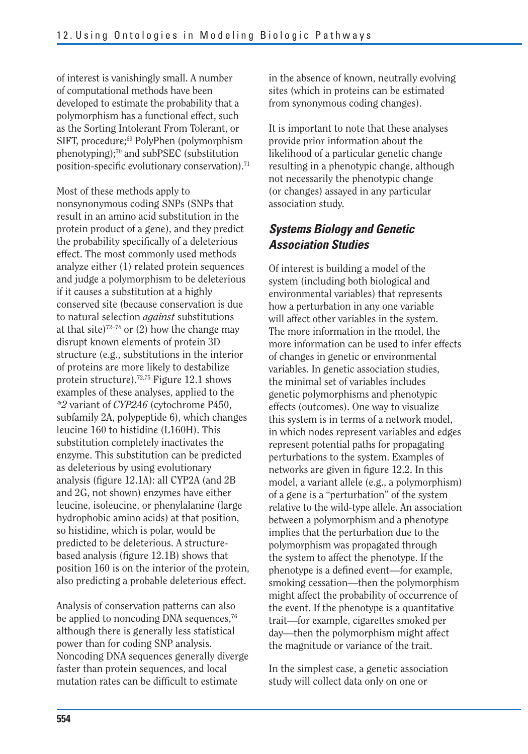of interest is vanishingly small. A number of computational methods have been developed to estimate the probability that a polymorphism has a functional effect, such as the Sorting Intolerant From Tolerant, or SIFT, procedure;<sup>69</sup> PolyPhen (polymorphism phenotyping);70 and subPSEC (substitution position-specific evolutionary conservation).71

Most of these methods apply to nonsynonymous coding SNPs (SNPs that result in an amino acid substitution in the protein product of a gene), and they predict the probability specifically of a deleterious effect. The most commonly used methods analyze either (1) related protein sequences and judge a polymorphism to be deleterious if it causes a substitution at a highly conserved site (because conservation is due to natural selection *against* substitutions at that site)<sup>72–74</sup> or (2) how the change may disrupt known elements of protein 3D structure (e.g., substitutions in the interior of proteins are more likely to destabilize protein structure).72,75 Figure 12.1 shows examples of these analyses, applied to the *\*2* variant of *CYP2A6* (cytochrome P450, subfamily 2A, polypeptide 6), which changes leucine 160 to histidine (L160H). This substitution completely inactivates the enzyme. This substitution can be predicted as deleterious by using evolutionary analysis (figure 12.1A): all CYP2A (and 2B and 2G, not shown) enzymes have either leucine, isoleucine, or phenylalanine (large hydrophobic amino acids) at that position, so histidine, which is polar, would be predicted to be deleterious. A structurebased analysis (figure 12.1B) shows that position 160 is on the interior of the protein, also predicting a probable deleterious effect.

Analysis of conservation patterns can also be applied to noncoding DNA sequences,<sup>76</sup> although there is generally less statistical power than for coding SNP analysis. Noncoding DNA sequences generally diverge faster than protein sequences, and local mutation rates can be difficult to estimate

in the absence of known, neutrally evolving sites (which in proteins can be estimated from synonymous coding changes).

It is important to note that these analyses provide prior information about the likelihood of a particular genetic change resulting in a phenotypic change, although not necessarily the phenotypic change (or changes) assayed in any particular association study.

### *Systems Biology and Genetic Association Studies*

Of interest is building a model of the system (including both biological and environmental variables) that represents how a perturbation in any one variable will affect other variables in the system. The more information in the model, the more information can be used to infer effects of changes in genetic or environmental variables. In genetic association studies, the minimal set of variables includes genetic polymorphisms and phenotypic effects (outcomes). One way to visualize this system is in terms of a network model, in which nodes represent variables and edges represent potential paths for propagating perturbations to the system. Examples of networks are given in figure 12.2. In this model, a variant allele (e.g., a polymorphism) of a gene is a "perturbation" of the system relative to the wild-type allele. An association between a polymorphism and a phenotype implies that the perturbation due to the polymorphism was propagated through the system to affect the phenotype. If the phenotype is a defined event—for example, smoking cessation—then the polymorphism might affect the probability of occurrence of the event. If the phenotype is a quantitative trait—for example, cigarettes smoked per day—then the polymorphism might affect the magnitude or variance of the trait.

In the simplest case, a genetic association study will collect data only on one or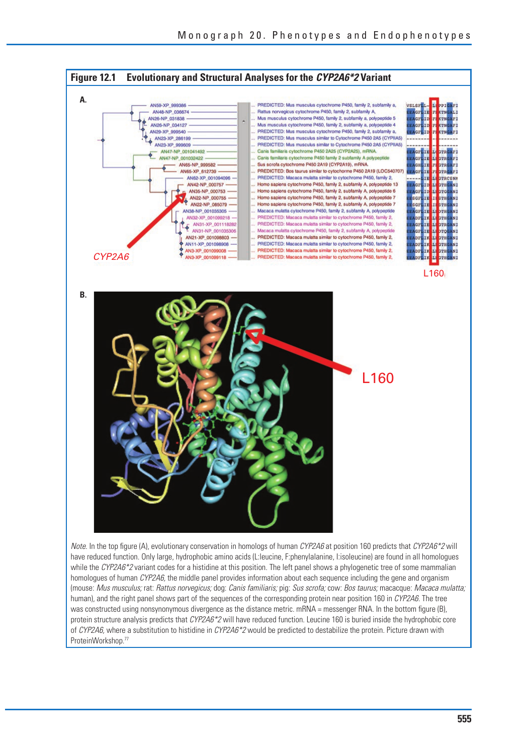

have reduced function. Only large, hydrophobic amino acids (L:leucine, F:phenylalanine, I:isoleucine) are found in all homologues while the CYP2A6\*2 variant codes for a histidine at this position. The left panel shows a phylogenetic tree of some mammalian homologues of human CYP2A6, the middle panel provides information about each sequence including the gene and organism (mouse: Mus musculus; rat: Rattus norvegicus; dog: Canis familiaris; pig: Sus scrofa; cow: Bos taurus; macacque: Macaca mulatta; human), and the right panel shows part of the sequences of the corresponding protein near position 160 in CYP2A6. The tree was constructed using nonsynonymous divergence as the distance metric. mRNA = messenger RNA. In the bottom figure (B), protein structure analysis predicts that CYP2A6\*2 will have reduced function. Leucine 160 is buried inside the hydrophobic core of CYP2A6, where a substitution to histidine in CYP2A6\*2 would be predicted to destabilize the protein. Picture drawn with ProteinWorkshop.<sup>77</sup>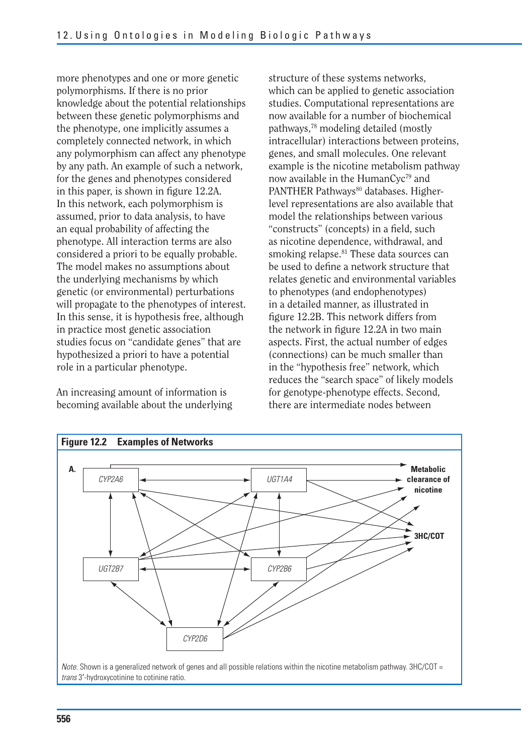more phenotypes and one or more genetic polymorphisms. If there is no prior knowledge about the potential relationships between these genetic polymorphisms and the phenotype, one implicitly assumes a completely connected network, in which any polymorphism can affect any phenotype by any path. An example of such a network, for the genes and phenotypes considered in this paper, is shown in figure  $12.2A$ . In this network, each polymorphism is assumed, prior to data analysis, to have an equal probability of affecting the phenotype. All interaction terms are also considered a priori to be equally probable. The model makes no assumptions about the underlying mechanisms by which genetic (or environmental) perturbations will propagate to the phenotypes of interest. In this sense, it is hypothesis free, although in practice most genetic association studies focus on "candidate genes" that are hypothesized a priori to have a potential role in a particular phenotype.

An increasing amount of information is becoming available about the underlying

structure of these systems networks, which can be applied to genetic association studies. Computational representations are now available for a number of biochemical pathways,78 modeling detailed (mostly intracellular) interactions between proteins, genes, and small molecules. One relevant example is the nicotine metabolism pathway now available in the HumanCyc<sup>79</sup> and PANTHER Pathways<sup>80</sup> databases. Higherlevel representations are also available that model the relationships between various "constructs" (concepts) in a field, such as nicotine dependence, withdrawal, and smoking relapse.<sup>81</sup> These data sources can be used to define a network structure that relates genetic and environmental variables to phenotypes (and endophenotypes) in a detailed manner, as illustrated in figure 12.2B. This network differs from the network in figure 12.2A in two main aspects. First, the actual number of edges (connections) can be much smaller than in the "hypothesis free" network, which reduces the "search space" of likely models for genotype-phenotype effects. Second, there are intermediate nodes between

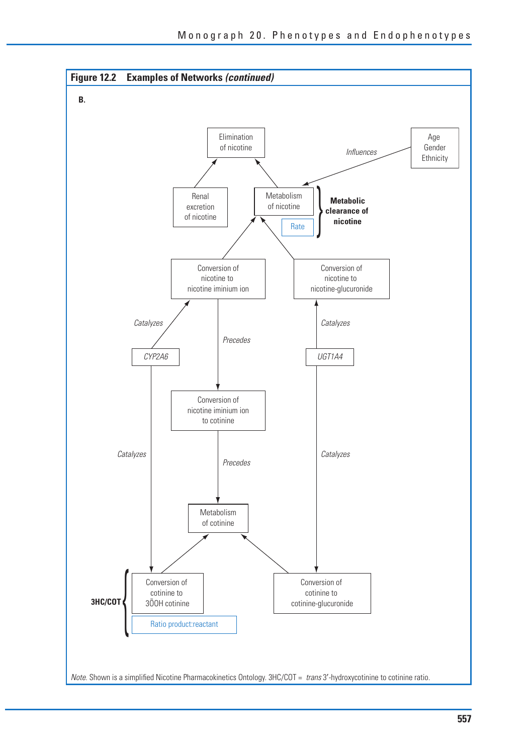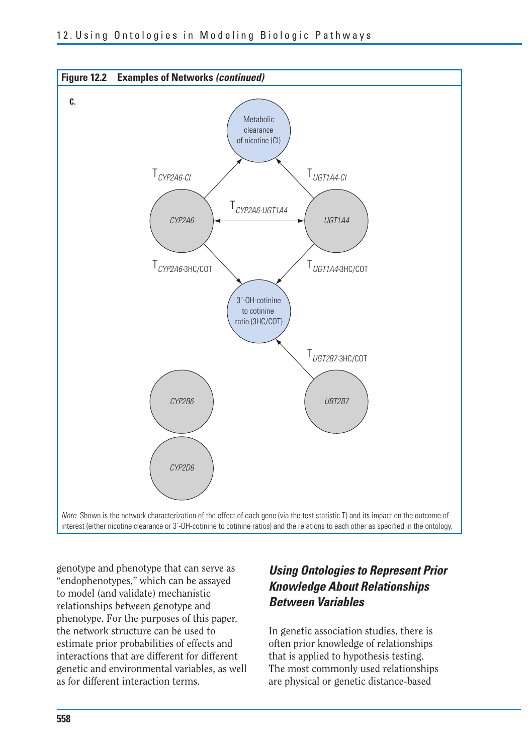

genotype and phenotype that can serve as "endophenotypes," which can be assayed to model (and validate) mechanistic relationships between genotype and phenotype. For the purposes of this paper, the network structure can be used to estimate prior probabilities of effects and interactions that are different for different genetic and environmental variables, as well as for different interaction terms.

## *Using Ontologies to Represent Prior Knowledge About Relationships Between Variables*

In genetic association studies, there is often prior knowledge of relationships that is applied to hypothesis testing. The most commonly used relationships are physical or genetic distance-based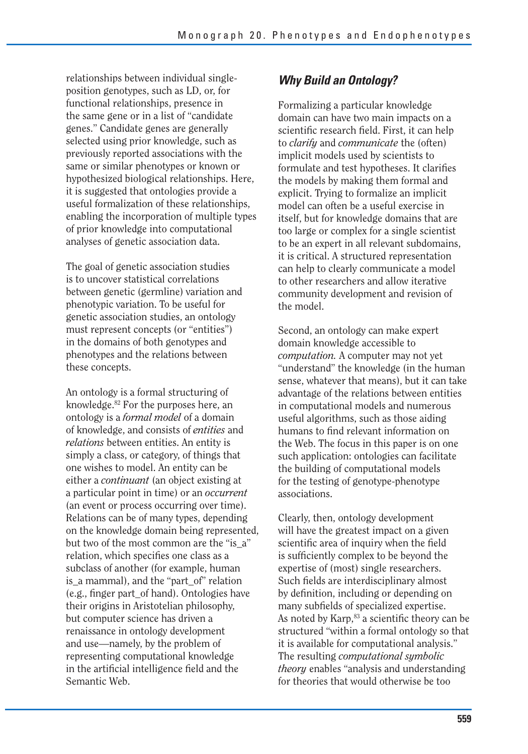relationships between individual singleposition genotypes, such as LD, or, for functional relationships, presence in the same gene or in a list of "candidate genes." Candidate genes are generally selected using prior knowledge, such as previously reported associations with the same or similar phenotypes or known or hypothesized biological relationships. Here, it is suggested that ontologies provide a useful formalization of these relationships, enabling the incorporation of multiple types of prior knowledge into computational analyses of genetic association data.

The goal of genetic association studies is to uncover statistical correlations between genetic (germline) variation and phenotypic variation. To be useful for genetic association studies, an ontology must represent concepts (or "entities") in the domains of both genotypes and phenotypes and the relations between these concepts.

An ontology is a formal structuring of knowledge.82 For the purposes here, an ontology is a *formal model* of a domain of knowledge, and consists of *entities* and *relations* between entities. An entity is simply a class, or category, of things that one wishes to model. An entity can be either a *continuant* (an object existing at a particular point in time) or an *occurrent*  (an event or process occurring over time). Relations can be of many types, depending on the knowledge domain being represented, but two of the most common are the "is a" relation, which specifies one class as a subclass of another (for example, human is a mammal), and the "part of" relation (e.g., finger part\_of hand). Ontologies have their origins in Aristotelian philosophy, but computer science has driven a renaissance in ontology development and use—namely, by the problem of representing computational knowledge in the artificial intelligence field and the Semantic Web.

### *Why Build an Ontology?*

 scientific research field. First, it can help Formalizing a particular knowledge domain can have two main impacts on a to *clarify* and *communicate* the (often) implicit models used by scientists to formulate and test hypotheses. It clarifies the models by making them formal and explicit. Trying to formalize an implicit model can often be a useful exercise in itself, but for knowledge domains that are too large or complex for a single scientist to be an expert in all relevant subdomains, it is critical. A structured representation can help to clearly communicate a model to other researchers and allow iterative community development and revision of the model.

Second, an ontology can make expert domain knowledge accessible to *computation.* A computer may not yet "understand" the knowledge (in the human sense, whatever that means), but it can take advantage of the relations between entities in computational models and numerous useful algorithms, such as those aiding humans to find relevant information on the Web. The focus in this paper is on one such application: ontologies can facilitate the building of computational models for the testing of genotype-phenotype associations.

Clearly, then, ontology development will have the greatest impact on a given scientific area of inquiry when the field is sufficiently complex to be beyond the expertise of (most) single researchers. Such fields are interdisciplinary almost by definition, including or depending on many subfields of specialized expertise. As noted by Karp,<sup>83</sup> a scientific theory can be structured "within a formal ontology so that it is available for computational analysis." The resulting *computational symbolic theory* enables "analysis and understanding for theories that would otherwise be too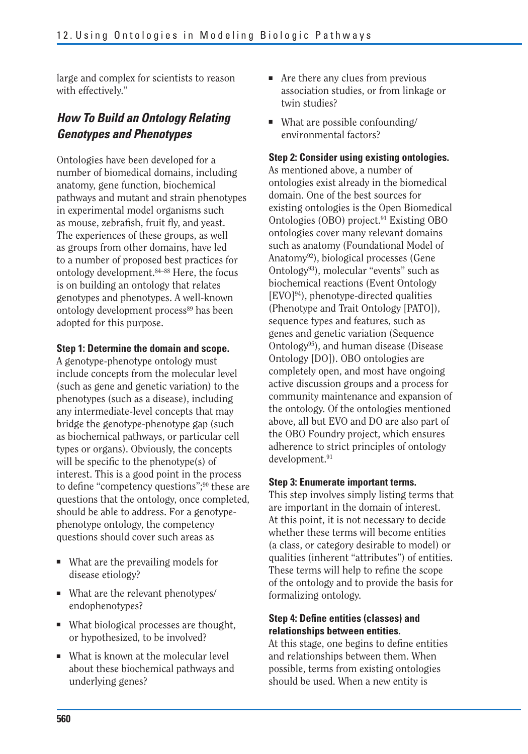large and complex for scientists to reason with effectively."

### *How To Build an Ontology Relating Genotypes and Phenotypes*

Ontologies have been developed for a number of biomedical domains, including anatomy, gene function, biochemical pathways and mutant and strain phenotypes in experimental model organisms such as mouse, zebrafish, fruit fly, and yeast. The experiences of these groups, as well as groups from other domains, have led to a number of proposed best practices for ontology development.84–88 Here, the focus is on building an ontology that relates genotypes and phenotypes. A well-known ontology development process<sup>89</sup> has been adopted for this purpose.

#### **Step 1: Determine the domain and scope.**

A genotype-phenotype ontology must include concepts from the molecular level (such as gene and genetic variation) to the phenotypes (such as a disease), including any intermediate-level concepts that may bridge the genotype-phenotype gap (such as biochemical pathways, or particular cell types or organs). Obviously, the concepts will be specific to the phenotype(s) of interest. This is a good point in the process to define "competency questions";90 these are questions that the ontology, once completed, should be able to address. For a genotypephenotype ontology, the competency questions should cover such areas as

- What are the prevailing models for disease etiology?
- What are the relevant phenotypes/ endophenotypes?
- What biological processes are thought, or hypothesized, to be involved?
- What is known at the molecular level about these biochemical pathways and underlying genes?
- Are there any clues from previous association studies, or from linkage or twin studies?
- What are possible confounding/ environmental factors?

#### **Step 2: Consider using existing ontologies.**

As mentioned above, a number of ontologies exist already in the biomedical domain. One of the best sources for existing ontologies is the Open Biomedical Ontologies (OBO) project.91 Existing OBO ontologies cover many relevant domains such as anatomy (Foundational Model of Anatomy92), biological processes (Gene Ontology93), molecular "events" such as biochemical reactions (Event Ontology  $[EVO]^{94}$ , phenotype-directed qualities (Phenotype and Trait Ontology [PATO]), sequence types and features, such as genes and genetic variation (Sequence Ontology<sup>95</sup>), and human disease (Disease Ontology [DO]). OBO ontologies are completely open, and most have ongoing active discussion groups and a process for community maintenance and expansion of the ontology. Of the ontologies mentioned above, all but EVO and DO are also part of the OBO Foundry project, which ensures adherence to strict principles of ontology development.<sup>91</sup>

#### **Step 3: Enumerate important terms.**

This step involves simply listing terms that are important in the domain of interest. At this point, it is not necessary to decide whether these terms will become entities (a class, or category desirable to model) or qualities (inherent "attributes") of entities. These terms will help to refine the scope of the ontology and to provide the basis for formalizing ontology.

#### **Step 4: Define entities (classes) and relationships between entities.**

At this stage, one begins to define entities and relationships between them. When possible, terms from existing ontologies should be used. When a new entity is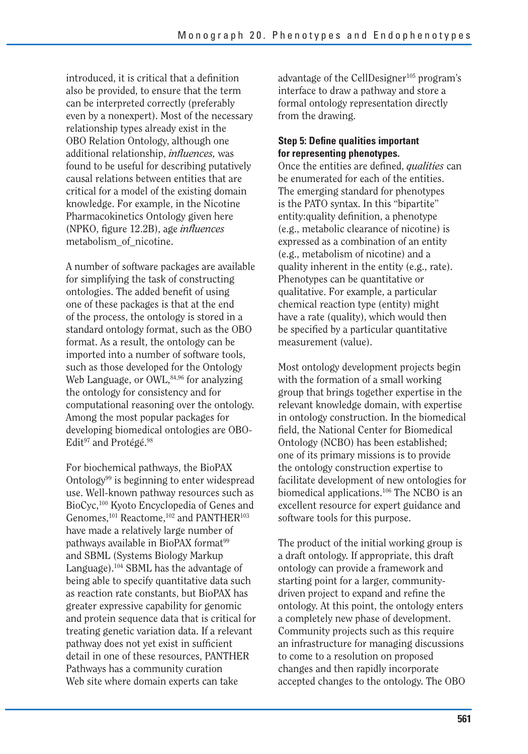introduced, it is critical that a definition also be provided, to ensure that the term can be interpreted correctly (preferably even by a nonexpert). Most of the necessary relationship types already exist in the OBO Relation Ontology, although one additional relationship, *influences*, was found to be useful for describing putatively causal relations between entities that are critical for a model of the existing domain knowledge. For example, in the Nicotine Pharmacokinetics Ontology given here (NPKO, figure 12.2B), age *influences* metabolism\_of\_nicotine.

A number of software packages are available for simplifying the task of constructing ontologies. The added benefit of using one of these packages is that at the end of the process, the ontology is stored in a standard ontology format, such as the OBO format. As a result, the ontology can be imported into a number of software tools, such as those developed for the Ontology Web Language, or OWL, 84,96 for analyzing the ontology for consistency and for computational reasoning over the ontology. Among the most popular packages for developing biomedical ontologies are OBO-Edit<sup>97</sup> and Protégé.<sup>98</sup>

For biochemical pathways, the BioPAX Ontology<sup>99</sup> is beginning to enter widespread use. Well-known pathway resources such as BioCyc,100 Kyoto Encyclopedia of Genes and Genomes,<sup>101</sup> Reactome,<sup>102</sup> and PANTHER<sup>103</sup> have made a relatively large number of pathways available in BioPAX format<sup>99</sup> and SBML (Systems Biology Markup Language).104 SBML has the advantage of being able to specify quantitative data such as reaction rate constants, but BioPAX has greater expressive capability for genomic and protein sequence data that is critical for treating genetic variation data. If a relevant pathway does not yet exist in sufficient detail in one of these resources, PANTHER Pathways has a community curation Web site where domain experts can take

advantage of the CellDesigner<sup>105</sup> program's interface to draw a pathway and store a formal ontology representation directly from the drawing.

#### **Step 5: Define qualities important for representing phenotypes.**

Once the entities are defined, *qualities* can be enumerated for each of the entities. The emerging standard for phenotypes is the PATO syntax. In this "bipartite" entity:quality definition, a phenotype (e.g., metabolic clearance of nicotine) is expressed as a combination of an entity (e.g., metabolism of nicotine) and a quality inherent in the entity (e.g., rate). Phenotypes can be quantitative or qualitative. For example, a particular chemical reaction type (entity) might have a rate (quality), which would then be specified by a particular quantitative measurement (value).

Most ontology development projects begin with the formation of a small working group that brings together expertise in the relevant knowledge domain, with expertise in ontology construction. In the biomedical field, the National Center for Biomedical Ontology (NCBO) has been established; one of its primary missions is to provide the ontology construction expertise to facilitate development of new ontologies for biomedical applications.106 The NCBO is an excellent resource for expert guidance and software tools for this purpose.

The product of the initial working group is a draft ontology. If appropriate, this draft ontology can provide a framework and starting point for a larger, communitydriven project to expand and refine the ontology. At this point, the ontology enters a completely new phase of development. Community projects such as this require an infrastructure for managing discussions to come to a resolution on proposed changes and then rapidly incorporate accepted changes to the ontology. The OBO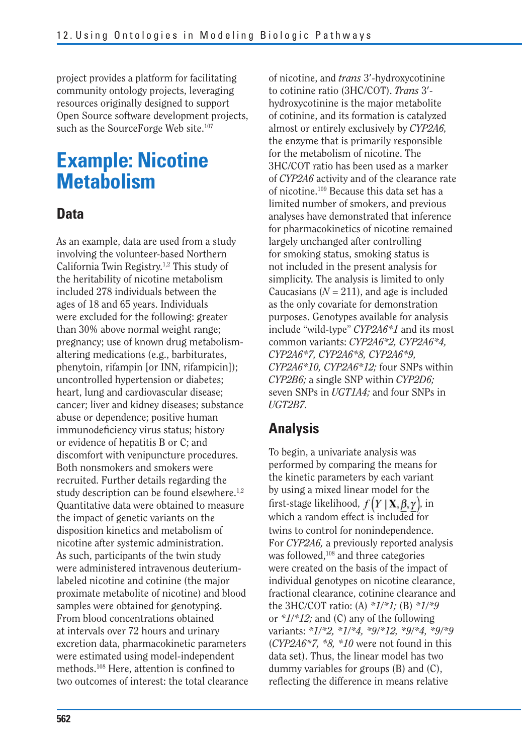project provides a platform for facilitating community ontology projects, leveraging resources originally designed to support Open Source software development projects, such as the SourceForge Web site.<sup>107</sup>

## **Example: Nicotine Metabolism**

### **Data**

As an example, data are used from a study involving the volunteer-based Northern California Twin Registry.1,2 This study of the heritability of nicotine metabolism included 278 individuals between the ages of 18 and 65 years. Individuals were excluded for the following: greater than 30% above normal weight range; pregnancy; use of known drug metabolismaltering medications (e.g., barbiturates, phenytoin, rifampin [or INN, rifampicin]); uncontrolled hypertension or diabetes; heart, lung and cardiovascular disease; cancer; liver and kidney diseases; substance abuse or dependence; positive human immunodeficiency virus status; history or evidence of hepatitis B or C; and discomfort with venipuncture procedures. Both nonsmokers and smokers were recruited. Further details regarding the study description can be found elsewhere.<sup>1,2</sup> Quantitative data were obtained to measure the impact of genetic variants on the disposition kinetics and metabolism of nicotine after systemic administration. As such, participants of the twin study were administered intravenous deuteriumlabeled nicotine and cotinine (the major proximate metabolite of nicotine) and blood samples were obtained for genotyping. From blood concentrations obtained at intervals over 72 hours and urinary excretion data, pharmacokinetic parameters were estimated using model-independent methods.<sup>108</sup> Here, attention is confined to two outcomes of interest: the total clearance of nicotine, and *trans* 3-hydroxycotinine to cotinine ratio (3HC/COT). *Trans* 3 hydroxycotinine is the major metabolite of cotinine, and its formation is catalyzed almost or entirely exclusively by *CYP2A6,*  the enzyme that is primarily responsible for the metabolism of nicotine. The 3HC/COT ratio has been used as a marker of *CYP2A6* activity and of the clearance rate of nicotine.109 Because this data set has a limited number of smokers, and previous analyses have demonstrated that inference for pharmacokinetics of nicotine remained largely unchanged after controlling for smoking status, smoking status is not included in the present analysis for simplicity. The analysis is limited to only Caucasians  $(N = 211)$ , and age is included as the only covariate for demonstration purposes. Genotypes available for analysis include "wild-type" *CYP2A6\*1* and its most common variants: *CYP2A6\*2, CYP2A6\*4, CYP2A6\*7, CYP2A6\*8, CYP2A6\*9, CYP2A6\*10, CYP2A6\*12;* four SNPs within *CYP2B6;* a single SNP within *CYP2D6;*  seven SNPs in *UGT1A4;* and four SNPs in *UGT2B7.* 

## **Analysis**

To begin, a univariate analysis was performed by comparing the means for the kinetic parameters by each variant by using a mixed linear model for the first-stage likelihood,  $f(Y | X, \beta, \gamma)$ , in which a random effect is included for twins to control for nonindependence. For *CYP2A6,* a previously reported analysis was followed,<sup>108</sup> and three categories were created on the basis of the impact of individual genotypes on nicotine clearance, fractional clearance, cotinine clearance and the 3HC/COT ratio: (A) *\*1/\*1;* (B) *\*1/\*9*  or *\*1/\*12;* and (C) any of the following variants: *\*1/\*2, \*1/\*4, \*9/\*12, \*9/\*4, \*9/\*9*  (*CYP2A6\*7, \*8, \*10* were not found in this data set). Thus, the linear model has two dummy variables for groups (B) and (C), reflecting the difference in means relative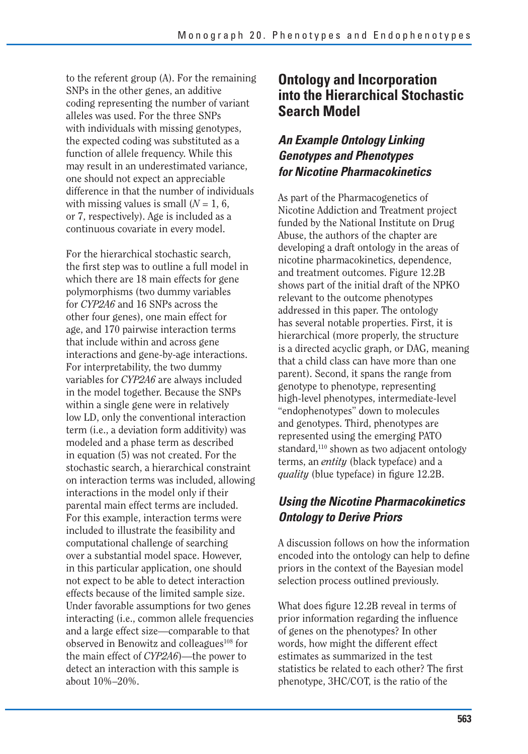to the referent group (A). For the remaining SNPs in the other genes, an additive coding representing the number of variant alleles was used. For the three SNPs with individuals with missing genotypes. the expected coding was substituted as a function of allele frequency. While this may result in an underestimated variance, one should not expect an appreciable difference in that the number of individuals with missing values is small  $(N = 1, 6,$ or 7, respectively). Age is included as a continuous covariate in every model.

For the hierarchical stochastic search, the first step was to outline a full model in which there are 18 main effects for gene polymorphisms (two dummy variables for *CYP2A6* and 16 SNPs across the other four genes), one main effect for age, and 170 pairwise interaction terms that include within and across gene interactions and gene-by-age interactions. For interpretability, the two dummy variables for *CYP2A6* are always included in the model together. Because the SNPs within a single gene were in relatively low LD, only the conventional interaction term (i.e., a deviation form additivity) was modeled and a phase term as described in equation (5) was not created. For the stochastic search, a hierarchical constraint on interaction terms was included, allowing interactions in the model only if their parental main effect terms are included. For this example, interaction terms were included to illustrate the feasibility and computational challenge of searching over a substantial model space. However, in this particular application, one should not expect to be able to detect interaction effects because of the limited sample size. Under favorable assumptions for two genes interacting (i.e., common allele frequencies and a large effect size—comparable to that observed in Benowitz and colleagues<sup>108</sup> for the main effect of *CYP2A6*)—the power to detect an interaction with this sample is about 10%–20%.

## **Ontology and Incorporation into the Hierarchical Stochastic Search Model**

## *An Example Ontology Linking Genotypes and Phenotypes for Nicotine Pharmacokinetics*

As part of the Pharmacogenetics of Nicotine Addiction and Treatment project funded by the National Institute on Drug Abuse, the authors of the chapter are developing a draft ontology in the areas of nicotine pharmacokinetics, dependence, and treatment outcomes. Figure 12.2B shows part of the initial draft of the NPKO relevant to the outcome phenotypes addressed in this paper. The ontology has several notable properties. First, it is hierarchical (more properly, the structure is a directed acyclic graph, or DAG, meaning that a child class can have more than one parent). Second, it spans the range from genotype to phenotype, representing high-level phenotypes, intermediate-level "endophenotypes" down to molecules and genotypes. Third, phenotypes are represented using the emerging PATO standard,<sup>110</sup> shown as two adjacent ontology terms, an *entity* (black typeface) and a *quality* (blue typeface) in figure 12.2B.

## *Using the Nicotine Pharmacokinetics Ontology to Derive Priors*

A discussion follows on how the information encoded into the ontology can help to define priors in the context of the Bayesian model selection process outlined previously.

What does figure 12.2B reveal in terms of prior information regarding the influence of genes on the phenotypes? In other words, how might the different effect estimates as summarized in the test statistics be related to each other? The first phenotype, 3HC/COT, is the ratio of the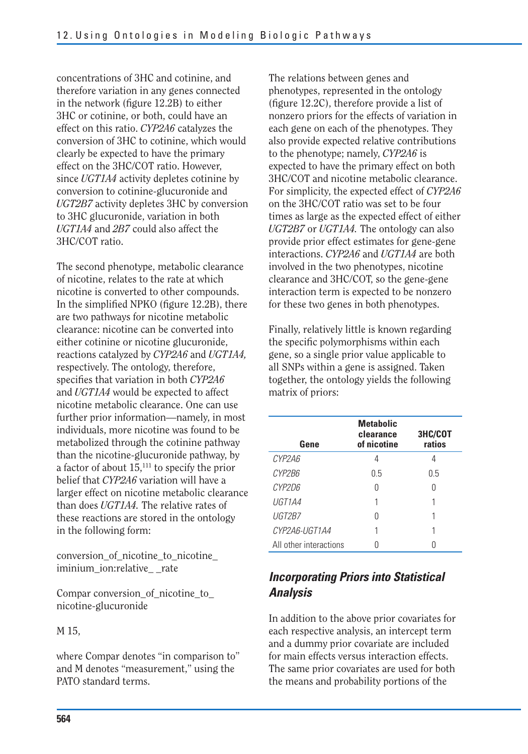concentrations of 3HC and cotinine, and therefore variation in any genes connected in the network (figure 12.2B) to either 3HC or cotinine, or both, could have an effect on this ratio. *CYP2A6* catalyzes the conversion of 3HC to cotinine, which would clearly be expected to have the primary effect on the 3HC/COT ratio. However, since *UGT1A4* activity depletes cotinine by conversion to cotinine-glucuronide and *UGT2B7* activity depletes 3HC by conversion to 3HC glucuronide, variation in both *UGT1A4* and *2B7* could also affect the 3HC/COT ratio.

 In the simplified NPKO (figure 12.2B), there The second phenotype, metabolic clearance of nicotine, relates to the rate at which nicotine is converted to other compounds. are two pathways for nicotine metabolic clearance: nicotine can be converted into either cotinine or nicotine glucuronide, reactions catalyzed by *CYP2A6* and *UGT1A4,*  respectively. The ontology, therefore, specifies that variation in both *CYP2A6*  and *UGT1A4* would be expected to affect nicotine metabolic clearance. One can use further prior information—namely, in most individuals, more nicotine was found to be metabolized through the cotinine pathway than the nicotine-glucuronide pathway, by a factor of about 15,111 to specify the prior belief that *CYP2A6* variation will have a larger effect on nicotine metabolic clearance than does *UGT1A4.* The relative rates of these reactions are stored in the ontology in the following form:

conversion\_of\_nicotine\_to\_nicotine\_ iminium\_ion:relative\_ \_rate

Compar conversion\_of\_nicotine\_to\_ nicotine-glucuronide

#### M 15,

where Compar denotes "in comparison to" and M denotes "measurement," using the PATO standard terms.

The relations between genes and phenotypes, represented in the ontology (figure 12.2C), therefore provide a list of nonzero priors for the effects of variation in each gene on each of the phenotypes. They also provide expected relative contributions to the phenotype; namely, *CYP2A6* is expected to have the primary effect on both 3HC/COT and nicotine metabolic clearance. For simplicity, the expected effect of *CYP2A6*  on the 3HC/COT ratio was set to be four times as large as the expected effect of either *UGT2B7* or *UGT1A4.* The ontology can also provide prior effect estimates for gene-gene interactions. *CYP2A6* and *UGT1A4* are both involved in the two phenotypes, nicotine clearance and 3HC/COT, so the gene-gene interaction term is expected to be nonzero for these two genes in both phenotypes.

Finally, relatively little is known regarding the specific polymorphisms within each gene, so a single prior value applicable to all SNPs within a gene is assigned. Taken together, the ontology yields the following matrix of priors:

| Gene                   | <b>Metabolic</b><br>clearance<br>of nicotine | 3HC/COT<br>ratios |
|------------------------|----------------------------------------------|-------------------|
| CYP2A6                 | 4                                            |                   |
| CYP2B6                 | 05                                           | 0.5               |
| CYP2D6                 | Λ                                            |                   |
| UGT1A4                 |                                              |                   |
| UGT2B7                 |                                              |                   |
| CYP2A6-UGT1A4          |                                              |                   |
| All other interactions |                                              |                   |

## *Incorporating Priors into Statistical Analysis*

In addition to the above prior covariates for each respective analysis, an intercept term and a dummy prior covariate are included for main effects versus interaction effects. The same prior covariates are used for both the means and probability portions of the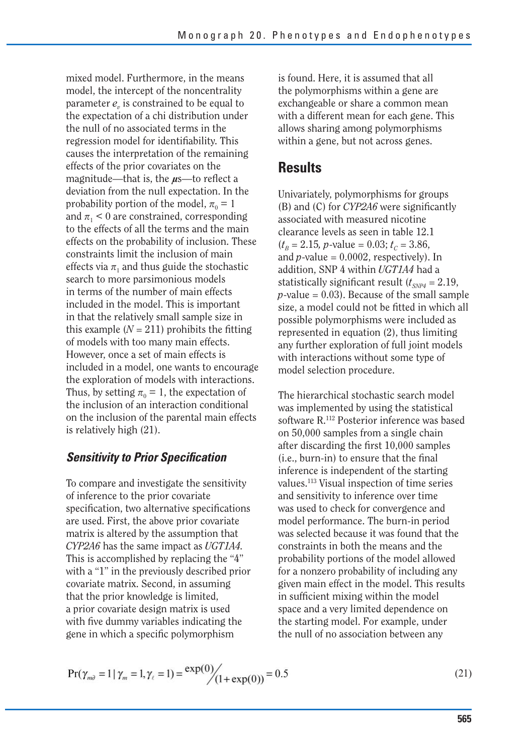mixed model. Furthermore, in the means model, the intercept of the noncentrality parameter  $e<sub>v</sub>$  is constrained to be equal to the expectation of a chi distribution under the null of no associated terms in the regression model for identifiability. This causes the interpretation of the remaining effects of the prior covariates on the magnitude—that is, the  $\mu$ s—to reflect a deviation from the null expectation. In the probability portion of the model,  $\pi_0 = 1$ and  $\pi$ <sub>1</sub> < 0 are constrained, corresponding to the effects of all the terms and the main effects on the probability of inclusion. These constraints limit the inclusion of main effects via  $\pi_1$  and thus guide the stochastic search to more parsimonious models in terms of the number of main effects included in the model. This is important in that the relatively small sample size in this example  $(N = 211)$  prohibits the fitting of models with too many main effects. However, once a set of main effects is included in a model, one wants to encourage the exploration of models with interactions. Thus, by setting  $\pi_0 = 1$ , the expectation of the inclusion of an interaction conditional on the inclusion of the parental main effects is relatively high (21).

### **Sensitivity to Prior Specification**

To compare and investigate the sensitivity of inference to the prior covariate specification, two alternative specifications are used. First, the above prior covariate matrix is altered by the assumption that *CYP2A6* has the same impact as *UGT1A4.*  This is accomplished by replacing the "4" with a "1" in the previously described prior covariate matrix. Second, in assuming that the prior knowledge is limited, a prior covariate design matrix is used with five dummy variables indicating the gene in which a specific polymorphism

is found. Here, it is assumed that all the polymorphisms within a gene are exchangeable or share a common mean with a different mean for each gene. This allows sharing among polymorphisms within a gene, but not across genes.

## **Results**

Univariately, polymorphisms for groups (B) and (C) for *CYP2A6* were significantly associated with measured nicotine clearance levels as seen in table 12.1  $(t_B = 2.15, p-value = 0.03; t_C = 3.86,$ and  $p$ -value =  $0.0002$ , respectively). In addition, SNP 4 within *UGT1A4* had a statistically significant result  $(t_{SNP4} = 2.19,$  $p$ -value = 0.03). Because of the small sample size, a model could not be fitted in which all possible polymorphisms were included as represented in equation (2), thus limiting any further exploration of full joint models with interactions without some type of model selection procedure.

The hierarchical stochastic search model was implemented by using the statistical software R.112 Posterior inference was based on 50,000 samples from a single chain after discarding the first 10,000 samples (i.e., burn-in) to ensure that the final inference is independent of the starting values.113 Visual inspection of time series and sensitivity to inference over time was used to check for convergence and model performance. The burn-in period was selected because it was found that the constraints in both the means and the probability portions of the model allowed for a nonzero probability of including any given main effect in the model. This results in sufficient mixing within the model space and a very limited dependence on the starting model. For example, under the null of no association between any

$$
Pr(\gamma_{m\partial} = 1 | \gamma_m = 1, \gamma_\ell = 1) = \frac{\exp(0)}{(1 + \exp(0))} = 0.5
$$
 (21)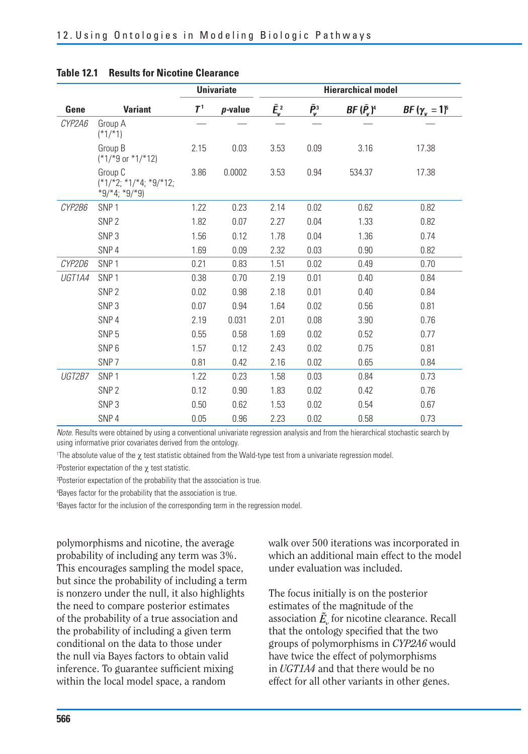|        |                                                        | <b>Univariate</b> |         | <b>Hierarchical model</b> |                                                                      |                     |                      |
|--------|--------------------------------------------------------|-------------------|---------|---------------------------|----------------------------------------------------------------------|---------------------|----------------------|
| Gene   | <b>Variant</b>                                         | $T^1$             | p-value | $\tilde{E}_{\rm v}^2$     | $\tilde{P}_{\!\scriptscriptstyle\mathcal{V}}^{\scriptscriptstyle 3}$ | $BF(\tilde{P_v})^4$ | $BF(\gamma_v = 1)^s$ |
| CYP2A6 | Group A<br>$(*1/*1)$                                   |                   |         |                           |                                                                      |                     |                      |
|        | Group B<br>(*1/*9 or *1/*12)                           | 2.15              | 0.03    | 3.53                      | 0.09                                                                 | 3.16                | 17.38                |
|        | Group C<br>$(*1/*2; *1/*4; *9/*12;$<br>$*9/*4; *9/*9)$ | 3.86              | 0.0002  | 3.53                      | 0.94                                                                 | 534.37              | 17.38                |
| CYP2B6 | SNP <sub>1</sub>                                       | 1.22              | 0.23    | 2.14                      | 0.02                                                                 | 0.62                | 0.82                 |
|        | SNP <sub>2</sub>                                       | 1.82              | 0.07    | 2.27                      | 0.04                                                                 | 1.33                | 0.82                 |
|        | SNP <sub>3</sub>                                       | 1.56              | 0.12    | 1.78                      | 0.04                                                                 | 1.36                | 0.74                 |
|        | SNP <sub>4</sub>                                       | 1.69              | 0.09    | 2.32                      | 0.03                                                                 | 0.90                | 0.82                 |
| CYP2D6 | SNP <sub>1</sub>                                       | 0.21              | 0.83    | 1.51                      | 0.02                                                                 | 0.49                | 0.70                 |
| UGT1A4 | SNP <sub>1</sub>                                       | 0.38              | 0.70    | 2.19                      | 0.01                                                                 | 0.40                | 0.84                 |
|        | SNP <sub>2</sub>                                       | 0.02              | 0.98    | 2.18                      | 0.01                                                                 | 0.40                | 0.84                 |
|        | SNP <sub>3</sub>                                       | 0.07              | 0.94    | 1.64                      | 0.02                                                                 | 0.56                | 0.81                 |
|        | SNP <sub>4</sub>                                       | 2.19              | 0.031   | 2.01                      | 0.08                                                                 | 3.90                | 0.76                 |
|        | SNP <sub>5</sub>                                       | 0.55              | 0.58    | 1.69                      | 0.02                                                                 | 0.52                | 0.77                 |
|        | SNP <sub>6</sub>                                       | 1.57              | 0.12    | 2.43                      | 0.02                                                                 | 0.75                | 0.81                 |
|        | SNP <sub>7</sub>                                       | 0.81              | 0.42    | 2.16                      | 0.02                                                                 | 0.65                | 0.84                 |
| UGT2B7 | SNP <sub>1</sub>                                       | 1.22              | 0.23    | 1.58                      | 0.03                                                                 | 0.84                | 0.73                 |
|        | SNP <sub>2</sub>                                       | 0.12              | 0.90    | 1.83                      | 0.02                                                                 | 0.42                | 0.76                 |
|        | SNP <sub>3</sub>                                       | 0.50              | 0.62    | 1.53                      | 0.02                                                                 | 0.54                | 0.67                 |
|        | SNP <sub>4</sub>                                       | 0.05              | 0.96    | 2.23                      | 0.02                                                                 | 0.58                | 0.73                 |

#### **Table 12.1 Results for Nicotine Clearance**

Note. Results were obtained by using a conventional univariate regression analysis and from the hierarchical stochastic search by using informative prior covariates derived from the ontology.

The absolute value of the  $\chi$  test statistic obtained from the Wald-type test from a univariate regression model.

<sup>2</sup> Posterior expectation of the  $\chi$  test statistic.

3 Posterior expectation of the probability that the association is true.

4 Bayes factor for the probability that the association is true.

5 Bayes factor for the inclusion of the corresponding term in the regression model.

polymorphisms and nicotine, the average probability of including any term was 3%. This encourages sampling the model space, but since the probability of including a term is nonzero under the null, it also highlights the need to compare posterior estimates of the probability of a true association and the probability of including a given term conditional on the data to those under the null via Bayes factors to obtain valid inference. To guarantee sufficient mixing within the local model space, a random

walk over 500 iterations was incorporated in which an additional main effect to the model under evaluation was included.

The focus initially is on the posterior estimates of the magnitude of the association  $\tilde{E}_{\nu}$  for nicotine clearance. Recall that the ontology specified that the two groups of polymorphisms in *CYP2A6* would have twice the effect of polymorphisms in *UGT1A4* and that there would be no effect for all other variants in other genes.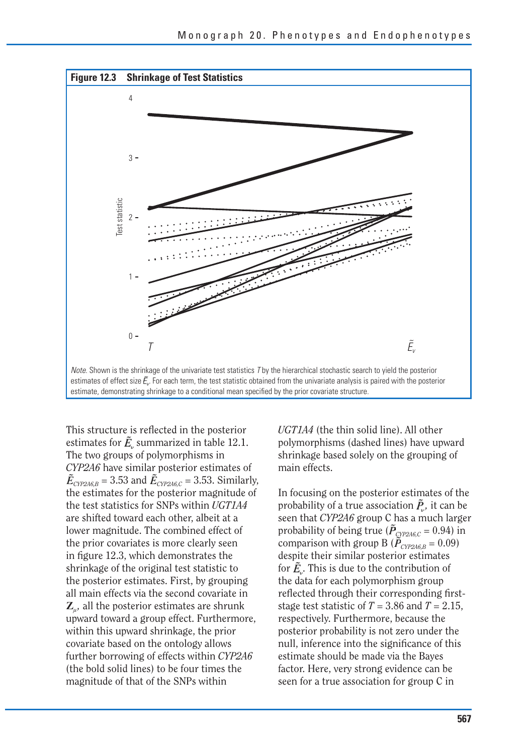

estimate, demonstrating shrinkage to a conditional mean specified by the prior covariate structure.

This structure is reflected in the posterior estimates for  $\tilde{E}_v$  summarized in table 12.1. The two groups of polymorphisms in *CYP2A6* have similar posterior estimates of  $\tilde{E}_{\text{CYP246,B}}$  = 3.53 and  $\tilde{E}_{\text{CYP246,C}}$  = 3.53. Similarly, the estimates for the posterior magnitude of the test statistics for SNPs within *UGT1A4*  are shifted toward each other, albeit at a lower magnitude. The combined effect of the prior covariates is more clearly seen in figure 12.3, which demonstrates the shrinkage of the original test statistic to the posterior estimates. First, by grouping all main effects via the second covariate in  $\mathbf{Z}_{\mu}$ , all the posterior estimates are shrunk upward toward a group effect. Furthermore, within this upward shrinkage, the prior covariate based on the ontology allows further borrowing of effects within *CYP2A6*  (the bold solid lines) to be four times the magnitude of that of the SNPs within

*UGT1A4* (the thin solid line). All other polymorphisms (dashed lines) have upward shrinkage based solely on the grouping of main effects.

In focusing on the posterior estimates of the probability of a true association  $\tilde{P}_y$ , it can be seen that *CYP2A6* group C has a much larger probability of being true ( $\tilde{P}_{\text{CYP246},C} = 0.94$ ) in comparison with group B ( $\tilde{P}_{\text{CYP246},B} = 0.09$ ) despite their similar posterior estimates for  $\tilde{E}_a$ . This is due to the contribution of the data for each polymorphism group reflected through their corresponding firststage test statistic of  $T = 3.86$  and  $T = 2.15$ , respectively. Furthermore, because the posterior probability is not zero under the null, inference into the significance of this estimate should be made via the Bayes factor. Here, very strong evidence can be seen for a true association for group C in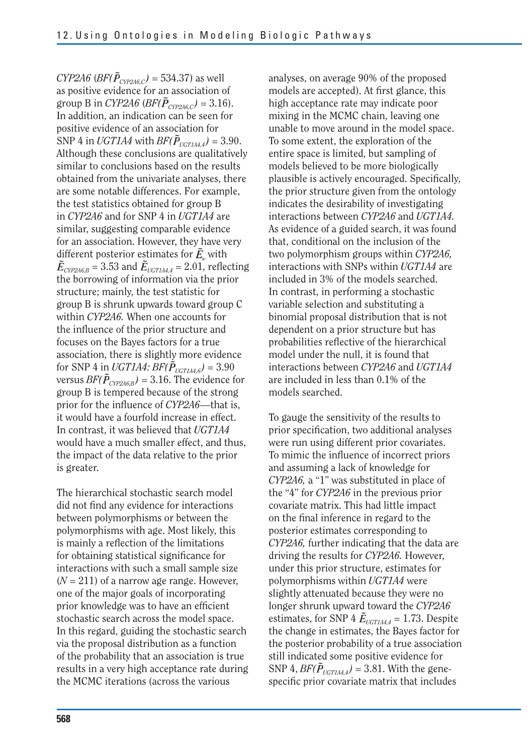$CYP2A6$  ( $BF(\tilde{P}_{\text{CYP246,C}}) = 534.37$ ) as well as positive evidence for an association of group B in *CYP2A6* (*BF*( $\tilde{P}_{\text{CYP246,C}}$ ) = 3.16). In addition, an indication can be seen for positive evidence of an association for SNP 4 in *UGT1A4* with  $BF(\tilde{P}_{UGT1A4,4}) = 3.90$ . Although these conclusions are qualitatively similar to conclusions based on the results obtained from the univariate analyses, there are some notable differences. For example, the test statistics obtained for group B in *CYP2A6* and for SNP 4 in *UGT1A4* are similar, suggesting comparable evidence for an association. However, they have very different posterior estimates for  $\tilde{E}_{\nu}$  with  $\tilde{E}_{\text{CYP246,B}}$  = 3.53 and  $\tilde{E}_{\text{UGT144,4}}$  = 2.01, reflecting the borrowing of information via the prior structure; mainly, the test statistic for group B is shrunk upwards toward group C within *CYP2A6.* When one accounts for the influence of the prior structure and focuses on the Bayes factors for a true association, there is slightly more evidence for SNP 4 in *UGT1A4: BF(* $\tilde{P}_{UGTIA4.6}$ *)* = 3.90 versus *BF(* $\tilde{P}_{\text{CVP246,B}}$ *)* = 3.16. The evidence for group B is tempered because of the strong prior for the influence of *CYP2A6*—that is, it would have a fourfold increase in effect. In contrast, it was believed that *UGT1A4*  would have a much smaller effect, and thus, the impact of the data relative to the prior is greater.

The hierarchical stochastic search model did not find any evidence for interactions between polymorphisms or between the polymorphisms with age. Most likely, this is mainly a reflection of the limitations for obtaining statistical significance for interactions with such a small sample size  $(N = 211)$  of a narrow age range. However, one of the major goals of incorporating prior knowledge was to have an efficient stochastic search across the model space. In this regard, guiding the stochastic search via the proposal distribution as a function of the probability that an association is true results in a very high acceptance rate during the MCMC iterations (across the various

analyses, on average 90% of the proposed models are accepted). At first glance, this high acceptance rate may indicate poor mixing in the MCMC chain, leaving one unable to move around in the model space. To some extent, the exploration of the entire space is limited, but sampling of models believed to be more biologically plausible is actively encouraged. Specifically, the prior structure given from the ontology indicates the desirability of investigating interactions between *CYP2A6* and *UGT1A4.*  As evidence of a guided search, it was found that, conditional on the inclusion of the two polymorphism groups within *CYP2A6,*  interactions with SNPs within *UGT1A4* are included in 3% of the models searched. In contrast, in performing a stochastic variable selection and substituting a binomial proposal distribution that is not dependent on a prior structure but has probabilities reflective of the hierarchical model under the null, it is found that interactions between *CYP2A6* and *UGT1A4*  are included in less than 0.1% of the models searched.

To gauge the sensitivity of the results to prior specification, two additional analyses were run using different prior covariates. To mimic the influence of incorrect priors and assuming a lack of knowledge for *CYP2A6,* a "1" was substituted in place of the "4" for *CYP2A6* in the previous prior covariate matrix. This had little impact on the final inference in regard to the posterior estimates corresponding to *CYP2A6,* further indicating that the data are driving the results for *CYP2A6.* However, under this prior structure, estimates for polymorphisms within *UGT1A4* were slightly attenuated because they were no longer shrunk upward toward the *CYP2A6*  estimates, for SNP 4  $\tilde{E}_{\text{UGT1A4.4}}$  = 1.73. Despite the change in estimates, the Bayes factor for the posterior probability of a true association still indicated some positive evidence for SNP 4,  $BF(\tilde{P}_{UGT1A4,4}) = 3.81$ . With the genespecific prior covariate matrix that includes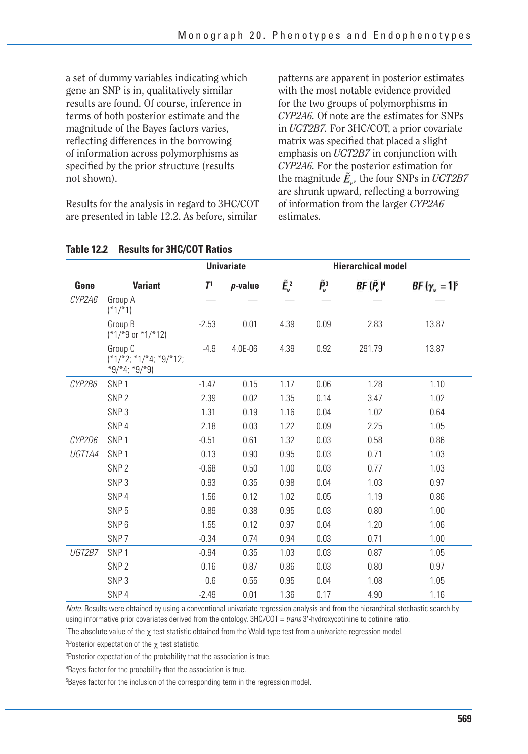a set of dummy variables indicating which gene an SNP is in, qualitatively similar results are found. Of course, inference in terms of both posterior estimate and the magnitude of the Bayes factors varies, reflecting differences in the borrowing of information across polymorphisms as specified by the prior structure (results not shown).

Results for the analysis in regard to 3HC/COT are presented in table 12.2. As before, similar

patterns are apparent in posterior estimates with the most notable evidence provided for the two groups of polymorphisms in *CYP2A6.* Of note are the estimates for SNPs in *UGT2B7.* For 3HC/COT, a prior covariate matrix was specified that placed a slight emphasis on *UGT2B7* in conjunction with *CYP2A6.* For the posterior estimation for the magnitude  $\tilde{E}_{\omega}$ , the four SNPs in *UGT2B7* are shrunk upward, reflecting a borrowing of information from the larger *CYP2A6*  estimates.

|        |                                                      | <b>Univariate</b> |            | <b>Hierarchical model</b> |                                                           |           |                      |
|--------|------------------------------------------------------|-------------------|------------|---------------------------|-----------------------------------------------------------|-----------|----------------------|
| Gene   | <b>Variant</b>                                       | T <sup>1</sup>    | $p$ -value | $\tilde{E}_{\rm v}^2$     | $\tilde{P}_{\mathsf{v}}^{\scriptscriptstyle{\mathrm{3}}}$ | BF (P, )ª | $BF(\gamma_v = 1)^5$ |
| CYP2A6 | Group A<br>$(*1/*1)$                                 |                   |            |                           |                                                           |           |                      |
|        | Group B<br>$(*1/*9$ or $*1/*12)$                     | $-2.53$           | 0.01       | 4.39                      | 0.09                                                      | 2.83      | 13.87                |
|        | Group C<br>$(*1/*2; *1/*4; *9/*12;$<br>*9/*4; *9/*9) | $-4.9$            | 4.0E-06    | 4.39                      | 0.92                                                      | 291.79    | 13.87                |
| CYP2B6 | SNP <sub>1</sub>                                     | $-1.47$           | 0.15       | 1.17                      | 0.06                                                      | 1.28      | 1.10                 |
|        | SNP <sub>2</sub>                                     | 2.39              | 0.02       | 1.35                      | 0.14                                                      | 3.47      | 1.02                 |
|        | SNP <sub>3</sub>                                     | 1.31              | 0.19       | 1.16                      | 0.04                                                      | 1.02      | 0.64                 |
|        | SNP <sub>4</sub>                                     | 2.18              | 0.03       | 1.22                      | 0.09                                                      | 2.25      | 1.05                 |
| CYP2D6 | SNP <sub>1</sub>                                     | $-0.51$           | 0.61       | 1.32                      | 0.03                                                      | 0.58      | 0.86                 |
| UGT1A4 | SNP <sub>1</sub>                                     | 0.13              | 0.90       | 0.95                      | 0.03                                                      | 0.71      | 1.03                 |
|        | SNP <sub>2</sub>                                     | $-0.68$           | 0.50       | 1.00                      | 0.03                                                      | 0.77      | 1.03                 |
|        | SNP <sub>3</sub>                                     | 0.93              | 0.35       | 0.98                      | 0.04                                                      | 1.03      | 0.97                 |
|        | SNP <sub>4</sub>                                     | 1.56              | 0.12       | 1.02                      | 0.05                                                      | 1.19      | 0.86                 |
|        | SNP <sub>5</sub>                                     | 0.89              | 0.38       | 0.95                      | 0.03                                                      | 0.80      | 1.00                 |
|        | SNP <sub>6</sub>                                     | 1.55              | 0.12       | 0.97                      | 0.04                                                      | 1.20      | 1.06                 |
|        | SNP <sub>7</sub>                                     | $-0.34$           | 0.74       | 0.94                      | 0.03                                                      | 0.71      | 1.00                 |
| UGT2B7 | SNP <sub>1</sub>                                     | $-0.94$           | 0.35       | 1.03                      | 0.03                                                      | 0.87      | 1.05                 |
|        | SNP <sub>2</sub>                                     | 0.16              | 0.87       | 0.86                      | 0.03                                                      | 0.80      | 0.97                 |
|        | SNP <sub>3</sub>                                     | 0.6               | 0.55       | 0.95                      | 0.04                                                      | 1.08      | 1.05                 |
|        | SNP <sub>4</sub>                                     | $-2.49$           | 0.01       | 1.36                      | 0.17                                                      | 4.90      | 1.16                 |

#### **Table 12.2 Results for 3HC/COT Ratios**

Note. Results were obtained by using a conventional univariate regression analysis and from the hierarchical stochastic search by using informative prior covariates derived from the ontology. 3HC/COT = trans 3'-hydroxycotinine to cotinine ratio.

The absolute value of the  $\chi$  test statistic obtained from the Wald-type test from a univariate regression model.

<sup>2</sup> Posterior expectation of the  $\chi$  test statistic.

3 Posterior expectation of the probability that the association is true.

4 Bayes factor for the probability that the association is true.

5 Bayes factor for the inclusion of the corresponding term in the regression model.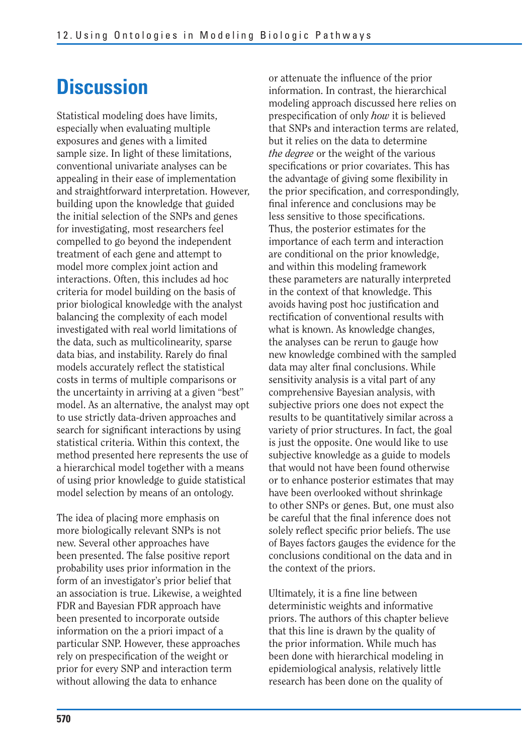## **Discussion**

Statistical modeling does have limits, especially when evaluating multiple exposures and genes with a limited sample size. In light of these limitations, conventional univariate analyses can be appealing in their ease of implementation and straightforward interpretation. However, building upon the knowledge that guided the initial selection of the SNPs and genes for investigating, most researchers feel compelled to go beyond the independent treatment of each gene and attempt to model more complex joint action and interactions. Often, this includes ad hoc criteria for model building on the basis of prior biological knowledge with the analyst balancing the complexity of each model investigated with real world limitations of the data, such as multicolinearity, sparse data bias, and instability. Rarely do final models accurately reflect the statistical costs in terms of multiple comparisons or the uncertainty in arriving at a given "best" model. As an alternative, the analyst may opt to use strictly data-driven approaches and search for significant interactions by using statistical criteria. Within this context, the method presented here represents the use of a hierarchical model together with a means of using prior knowledge to guide statistical model selection by means of an ontology.

The idea of placing more emphasis on more biologically relevant SNPs is not new. Several other approaches have been presented. The false positive report probability uses prior information in the form of an investigator's prior belief that an association is true. Likewise, a weighted FDR and Bayesian FDR approach have been presented to incorporate outside information on the a priori impact of a particular SNP. However, these approaches rely on prespecification of the weight or prior for every SNP and interaction term without allowing the data to enhance

or attenuate the influence of the prior information. In contrast, the hierarchical modeling approach discussed here relies on prespecification of only *how* it is believed that SNPs and interaction terms are related, but it relies on the data to determine *the degree* or the weight of the various specifications or prior covariates. This has the advantage of giving some flexibility in the prior specification, and correspondingly, final inference and conclusions may be less sensitive to those specifications. Thus, the posterior estimates for the importance of each term and interaction are conditional on the prior knowledge, and within this modeling framework these parameters are naturally interpreted in the context of that knowledge. This avoids having post hoc justification and rectification of conventional results with what is known. As knowledge changes, the analyses can be rerun to gauge how new knowledge combined with the sampled data may alter final conclusions. While sensitivity analysis is a vital part of any comprehensive Bayesian analysis, with subjective priors one does not expect the results to be quantitatively similar across a variety of prior structures. In fact, the goal is just the opposite. One would like to use subjective knowledge as a guide to models that would not have been found otherwise or to enhance posterior estimates that may have been overlooked without shrinkage to other SNPs or genes. But, one must also be careful that the final inference does not solely reflect specific prior beliefs. The use of Bayes factors gauges the evidence for the conclusions conditional on the data and in the context of the priors.

Ultimately, it is a fine line between deterministic weights and informative priors. The authors of this chapter believe that this line is drawn by the quality of the prior information. While much has been done with hierarchical modeling in epidemiological analysis, relatively little research has been done on the quality of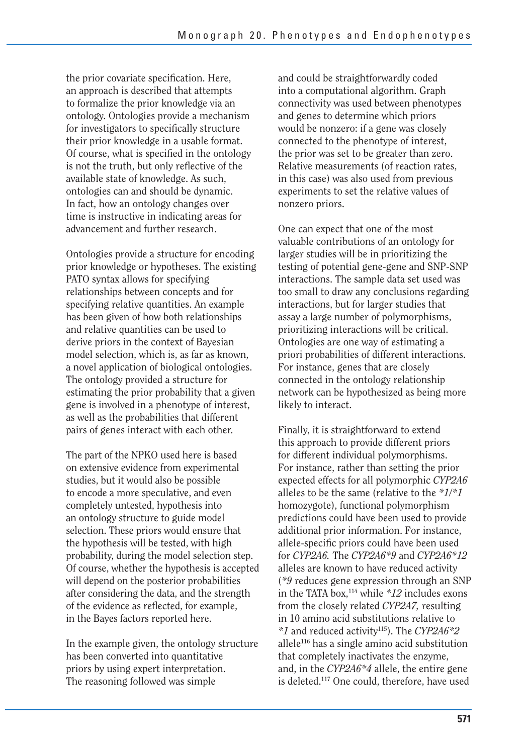the prior covariate specification. Here, an approach is described that attempts to formalize the prior knowledge via an ontology. Ontologies provide a mechanism for investigators to specifically structure their prior knowledge in a usable format. Of course, what is specified in the ontology is not the truth, but only reflective of the available state of knowledge. As such, ontologies can and should be dynamic. In fact, how an ontology changes over time is instructive in indicating areas for advancement and further research.

Ontologies provide a structure for encoding prior knowledge or hypotheses. The existing PATO syntax allows for specifying relationships between concepts and for specifying relative quantities. An example has been given of how both relationships and relative quantities can be used to derive priors in the context of Bayesian model selection, which is, as far as known, a novel application of biological ontologies. The ontology provided a structure for estimating the prior probability that a given gene is involved in a phenotype of interest, as well as the probabilities that different pairs of genes interact with each other.

The part of the NPKO used here is based on extensive evidence from experimental studies, but it would also be possible to encode a more speculative, and even completely untested, hypothesis into an ontology structure to guide model selection. These priors would ensure that the hypothesis will be tested, with high probability, during the model selection step. Of course, whether the hypothesis is accepted will depend on the posterior probabilities after considering the data, and the strength of the evidence as reflected, for example, in the Bayes factors reported here.

In the example given, the ontology structure has been converted into quantitative priors by using expert interpretation. The reasoning followed was simple

and could be straightforwardly coded into a computational algorithm. Graph connectivity was used between phenotypes and genes to determine which priors would be nonzero: if a gene was closely connected to the phenotype of interest, the prior was set to be greater than zero. Relative measurements (of reaction rates, in this case) was also used from previous experiments to set the relative values of nonzero priors.

One can expect that one of the most valuable contributions of an ontology for larger studies will be in prioritizing the testing of potential gene-gene and SNP-SNP interactions. The sample data set used was too small to draw any conclusions regarding interactions, but for larger studies that assay a large number of polymorphisms, prioritizing interactions will be critical. Ontologies are one way of estimating a priori probabilities of different interactions. For instance, genes that are closely connected in the ontology relationship network can be hypothesized as being more likely to interact.

Finally, it is straightforward to extend this approach to provide different priors for different individual polymorphisms. For instance, rather than setting the prior expected effects for all polymorphic *CYP2A6*  alleles to be the same (relative to the *\*1/\*1*  homozygote), functional polymorphism predictions could have been used to provide additional prior information. For instance, allele-specific priors could have been used for *CYP2A6.* The *CYP2A6\*9* and *CYP2A6\*12*  alleles are known to have reduced activity (*\*9* reduces gene expression through an SNP in the TATA box,114 while *\*12* includes exons from the closely related *CYP2A7,* resulting in 10 amino acid substitutions relative to *\*1* and reduced activity115). The *CYP2A6\*2*  allele116 has a single amino acid substitution that completely inactivates the enzyme, and, in the *CYP2A6\*4* allele, the entire gene is deleted.117 One could, therefore, have used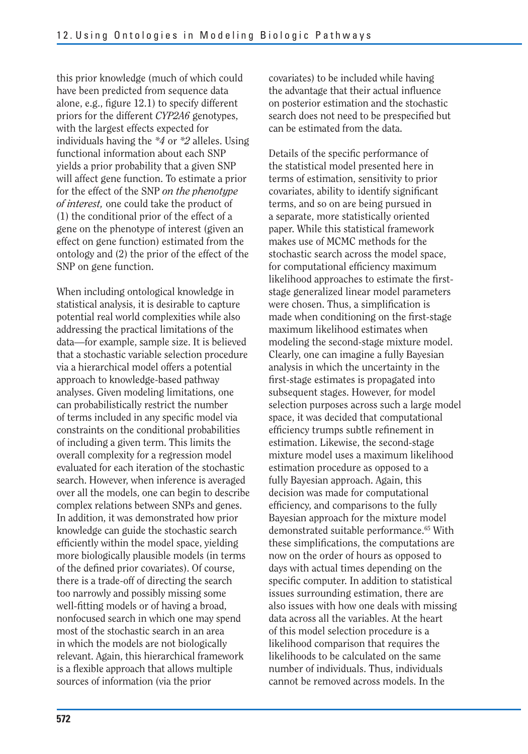this prior knowledge (much of which could have been predicted from sequence data alone, e.g., figure 12.1) to specify different priors for the different *CYP2A6* genotypes, with the largest effects expected for individuals having the *\*4* or *\*2* alleles. Using functional information about each SNP yields a prior probability that a given SNP will affect gene function. To estimate a prior for the effect of the SNP *on the phenotype of interest,* one could take the product of (1) the conditional prior of the effect of a gene on the phenotype of interest (given an effect on gene function) estimated from the ontology and (2) the prior of the effect of the SNP on gene function.

 of terms included in any specific model via When including ontological knowledge in statistical analysis, it is desirable to capture potential real world complexities while also addressing the practical limitations of the data—for example, sample size. It is believed that a stochastic variable selection procedure via a hierarchical model offers a potential approach to knowledge-based pathway analyses. Given modeling limitations, one can probabilistically restrict the number constraints on the conditional probabilities of including a given term. This limits the overall complexity for a regression model evaluated for each iteration of the stochastic search. However, when inference is averaged over all the models, one can begin to describe complex relations between SNPs and genes. In addition, it was demonstrated how prior knowledge can guide the stochastic search efficiently within the model space, yielding more biologically plausible models (in terms of the defined prior covariates). Of course, there is a trade-off of directing the search too narrowly and possibly missing some well-fitting models or of having a broad, nonfocused search in which one may spend most of the stochastic search in an area in which the models are not biologically relevant. Again, this hierarchical framework is a flexible approach that allows multiple sources of information (via the prior

covariates) to be included while having the advantage that their actual influence on posterior estimation and the stochastic search does not need to be prespecified but can be estimated from the data.

Details of the specific performance of the statistical model presented here in terms of estimation, sensitivity to prior covariates, ability to identify significant terms, and so on are being pursued in a separate, more statistically oriented paper. While this statistical framework makes use of MCMC methods for the stochastic search across the model space, for computational efficiency maximum likelihood approaches to estimate the firststage generalized linear model parameters were chosen. Thus, a simplification is made when conditioning on the first-stage maximum likelihood estimates when modeling the second-stage mixture model. Clearly, one can imagine a fully Bayesian analysis in which the uncertainty in the first-stage estimates is propagated into subsequent stages. However, for model selection purposes across such a large model space, it was decided that computational efficiency trumps subtle refinement in estimation. Likewise, the second-stage mixture model uses a maximum likelihood estimation procedure as opposed to a fully Bayesian approach. Again, this decision was made for computational efficiency, and comparisons to the fully Bayesian approach for the mixture model demonstrated suitable performance.<sup>65</sup> With these simplifications, the computations are now on the order of hours as opposed to days with actual times depending on the specific computer. In addition to statistical issues surrounding estimation, there are also issues with how one deals with missing data across all the variables. At the heart of this model selection procedure is a likelihood comparison that requires the likelihoods to be calculated on the same number of individuals. Thus, individuals cannot be removed across models. In the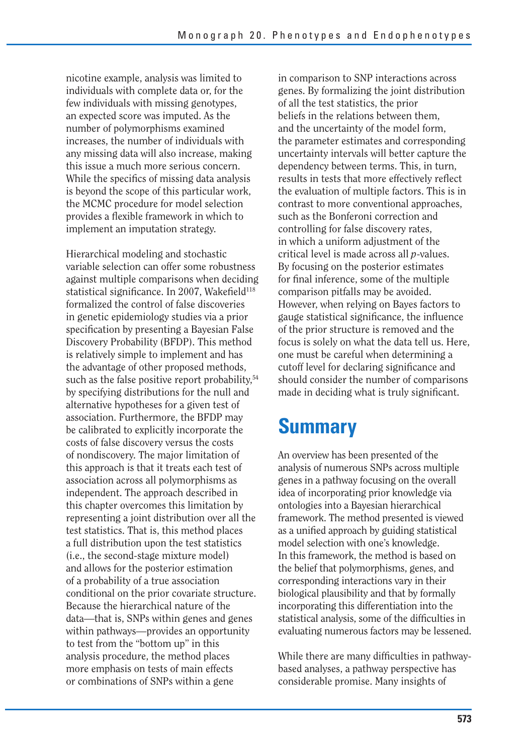nicotine example, analysis was limited to individuals with complete data or, for the few individuals with missing genotypes, an expected score was imputed. As the number of polymorphisms examined increases, the number of individuals with any missing data will also increase, making this issue a much more serious concern. While the specifics of missing data analysis is beyond the scope of this particular work, the MCMC procedure for model selection provides a flexible framework in which to implement an imputation strategy.

Hierarchical modeling and stochastic variable selection can offer some robustness against multiple comparisons when deciding statistical significance. In 2007, Wakefield<sup>118</sup> formalized the control of false discoveries in genetic epidemiology studies via a prior specification by presenting a Bayesian False Discovery Probability (BFDP). This method is relatively simple to implement and has the advantage of other proposed methods, such as the false positive report probability, $54$ by specifying distributions for the null and alternative hypotheses for a given test of association. Furthermore, the BFDP may be calibrated to explicitly incorporate the costs of false discovery versus the costs of nondiscovery. The major limitation of this approach is that it treats each test of association across all polymorphisms as independent. The approach described in this chapter overcomes this limitation by representing a joint distribution over all the test statistics. That is, this method places a full distribution upon the test statistics (i.e., the second-stage mixture model) and allows for the posterior estimation of a probability of a true association conditional on the prior covariate structure. Because the hierarchical nature of the data—that is, SNPs within genes and genes within pathways—provides an opportunity to test from the "bottom up" in this analysis procedure, the method places more emphasis on tests of main effects or combinations of SNPs within a gene

in comparison to SNP interactions across genes. By formalizing the joint distribution of all the test statistics, the prior beliefs in the relations between them, and the uncertainty of the model form, the parameter estimates and corresponding uncertainty intervals will better capture the dependency between terms. This, in turn, results in tests that more effectively reflect the evaluation of multiple factors. This is in contrast to more conventional approaches, such as the Bonferoni correction and controlling for false discovery rates, in which a uniform adjustment of the critical level is made across all *p*-values. By focusing on the posterior estimates for final inference, some of the multiple comparison pitfalls may be avoided. However, when relying on Bayes factors to gauge statistical significance, the influence of the prior structure is removed and the focus is solely on what the data tell us. Here, one must be careful when determining a cutoff level for declaring significance and should consider the number of comparisons made in deciding what is truly significant.

## **Summary**

An overview has been presented of the analysis of numerous SNPs across multiple genes in a pathway focusing on the overall idea of incorporating prior knowledge via ontologies into a Bayesian hierarchical framework. The method presented is viewed as a unified approach by guiding statistical model selection with one's knowledge. In this framework, the method is based on the belief that polymorphisms, genes, and corresponding interactions vary in their biological plausibility and that by formally incorporating this differentiation into the statistical analysis, some of the difficulties in evaluating numerous factors may be lessened.

While there are many difficulties in pathwaybased analyses, a pathway perspective has considerable promise. Many insights of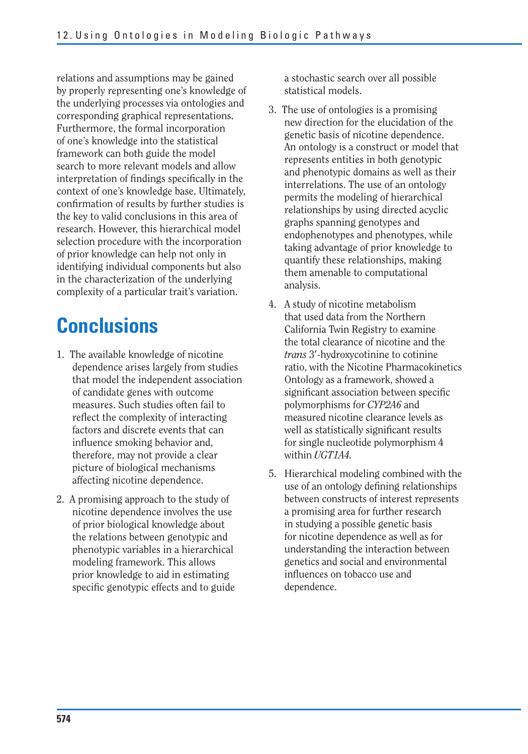relations and assumptions may be gained by properly representing one's knowledge of the underlying processes via ontologies and corresponding graphical representations. Furthermore, the formal incorporation of one's knowledge into the statistical framework can both guide the model search to more relevant models and allow interpretation of findings specifically in the context of one's knowledge base. Ultimately, confirmation of results by further studies is the key to valid conclusions in this area of research. However, this hierarchical model selection procedure with the incorporation of prior knowledge can help not only in identifying individual components but also in the characterization of the underlying complexity of a particular trait's variation.

# **Conclusions**

- 1. The available knowledge of nicotine dependence arises largely from studies that model the independent association of candidate genes with outcome measures. Such studies often fail to reflect the complexity of interacting factors and discrete events that can influence smoking behavior and, therefore, may not provide a clear picture of biological mechanisms affecting nicotine dependence.
- 2. A promising approach to the study of nicotine dependence involves the use of prior biological knowledge about the relations between genotypic and phenotypic variables in a hierarchical modeling framework. This allows prior knowledge to aid in estimating specific genotypic effects and to guide

a stochastic search over all possible statistical models.

- 3. The use of ontologies is a promising new direction for the elucidation of the genetic basis of nicotine dependence. An ontology is a construct or model that represents entities in both genotypic and phenotypic domains as well as their interrelations. The use of an ontology permits the modeling of hierarchical relationships by using directed acyclic graphs spanning genotypes and endophenotypes and phenotypes, while taking advantage of prior knowledge to quantify these relationships, making them amenable to computational analysis.
- 4. A study of nicotine metabolism that used data from the Northern California Twin Registry to examine the total clearance of nicotine and the *trans* 3-hydroxycotinine to cotinine ratio, with the Nicotine Pharmacokinetics Ontology as a framework, showed a significant association between specific polymorphisms for *CYP2A6* and measured nicotine clearance levels as well as statistically significant results for single nucleotide polymorphism 4 within *UGT1A4.*
- 5. Hierarchical modeling combined with the use of an ontology defining relationships between constructs of interest represents a promising area for further research in studying a possible genetic basis for nicotine dependence as well as for understanding the interaction between genetics and social and environmental influences on tobacco use and dependence.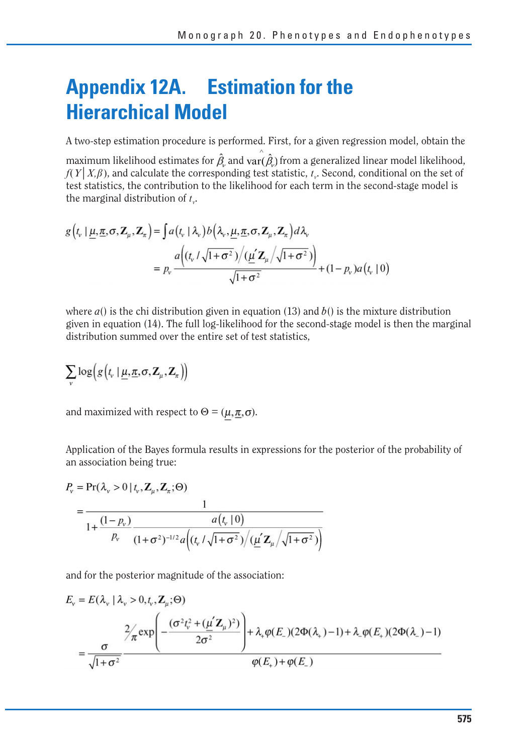## **Appendix 12A. Estimation for the Hierarchical Model**

A two-step estimation procedure is performed. First, for a given regression model, obtain the

maximum likelihood estimates for  $\hat{\beta}_{\mu}$  and var( $\hat{\beta}_{\mu}$ ) from a generalized linear model likelihood,  $f(Y|X,\beta)$ , and calculate the corresponding test statistic,  $t<sub>r</sub>$ . Second, conditional on the set of test statistics, the contribution to the likelihood for each term in the second-stage model is the marginal distribution of  $t_v$ .

$$
g(t_v | \underline{\mu}, \underline{\pi}, \sigma, \mathbf{Z}_{\mu}, \mathbf{Z}_{\pi}) = \int a(t_v | \lambda_v) b(\lambda_v, \underline{\mu}, \underline{\pi}, \sigma, \mathbf{Z}_{\mu}, \mathbf{Z}_{\pi}) d\lambda_v
$$
  
=  $p_v \frac{a((t_v / \sqrt{1 + \sigma^2}) / (\underline{\mu'} \mathbf{Z}_{\mu} / \sqrt{1 + \sigma^2}))}{\sqrt{1 + \sigma^2}} + (1 - p_v) a(t_v | 0)$ 

where  $a()$  is the chi distribution given in equation (13) and  $b()$  is the mixture distribution given in equation (14). The full log-likelihood for the second-stage model is then the marginal distribution summed over the entire set of test statistics,

$$
\sum_{v} \log \Bigl( g\bigl(t_v \,|\, \underline{\mu}, \underline{\pi}, \sigma, \mathbf{Z}_{\mu}, \mathbf{Z}_{\pi}\bigr) \Bigr)
$$

and maximized with respect to  $\Theta = (\mu, \pi, \sigma)$ .

Application of the Bayes formula results in expressions for the posterior of the probability of an association being true:

$$
P_v = \Pr(\lambda_v > 0 \mid t_v, \mathbf{Z}_{\mu}, \mathbf{Z}_{\tau}; \Theta)
$$
  
= 
$$
\frac{1}{1 + \frac{(1 - p_v)}{p_v} \frac{a(t_v \mid 0)}{(1 + \sigma^2)^{-1/2} a\left((t_v / \sqrt{1 + \sigma^2}) / (\underline{\mu'} \mathbf{Z}_{\mu} / \sqrt{1 + \sigma^2})\right)}}
$$

and for the posterior magnitude of the association:

$$
E_{v} = E(\lambda_{v} | \lambda_{v} > 0, t_{v}, \mathbf{Z}_{\mu}; \Theta)
$$
  
= 
$$
\frac{2}{\sqrt{1 + \sigma^{2}}} \frac{2(\sigma^{2} t_{v}^{2} + (\mu^{2} \mathbf{Z}_{\mu})^{2})}{2\sigma^{2}} + \lambda_{v} \varphi(E_{-})(2\Phi(\lambda_{v}) - 1) + \lambda_{v} \varphi(E_{+})(2\Phi(\lambda_{-}) - 1)
$$
  
= 
$$
\frac{\sigma}{\sqrt{1 + \sigma^{2}}}
$$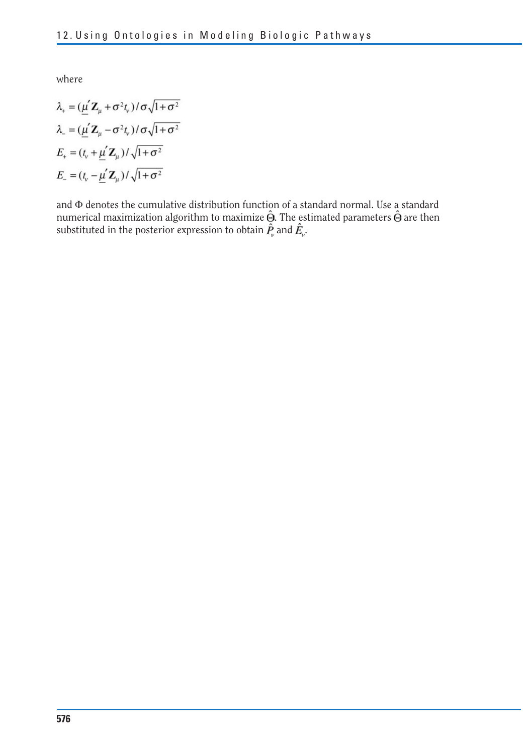where

$$
\lambda_{+} = (\underline{\mu}' \mathbf{Z}_{\mu} + \sigma^{2} t_{v}) / \sigma \sqrt{1 + \sigma^{2}}
$$

$$
\lambda_{-} = (\underline{\mu}' \mathbf{Z}_{\mu} - \sigma^{2} t_{v}) / \sigma \sqrt{1 + \sigma^{2}}
$$

$$
E_{+} = (t_{v} + \underline{\mu}' \mathbf{Z}_{\mu}) / \sqrt{1 + \sigma^{2}}
$$

$$
E_{-} = (t_{v} - \underline{\mu}' \mathbf{Z}_{\mu}) / \sqrt{1 + \sigma^{2}}
$$

and  $\Phi$  denotes the cumulative distribution function of a standard normal. Use a standard numerical maximization algorithm to maximize  $\Theta$ . The estimated parameters  $\Theta$  are then substituted in the posterior expression to obtain  $P_a$  and  $E_a$ .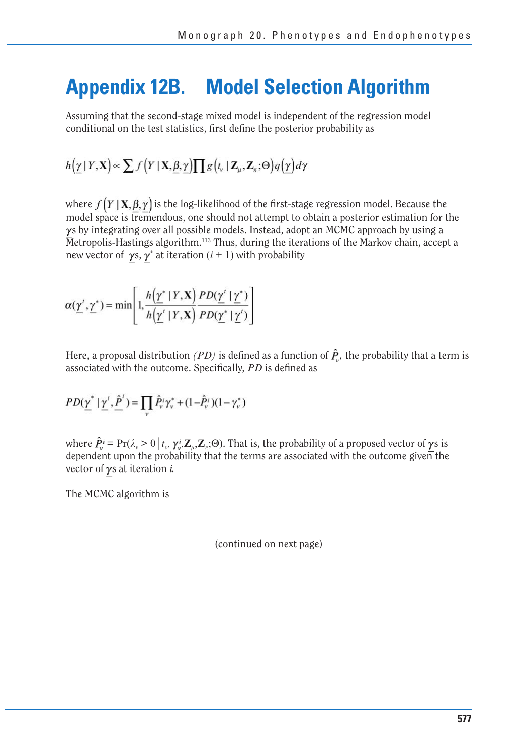## **Appendix 12B. Model Selection Algorithm**

Assuming that the second-stage mixed model is independent of the regression model conditional on the test statistics, first define the posterior probability as

$$
h(\underline{\gamma} | Y, \mathbf{X}) \propto \sum f(Y | \mathbf{X}, \underline{\beta}, \underline{\gamma}) \prod g\big(t_v | \mathbf{Z}_{\mu}, \mathbf{Z}_{\pi}; \Theta\big) q\big(\underline{\gamma}\big) d\gamma
$$

where  $f(Y | X, \beta, \gamma)$  is the log-likelihood of the first-stage regression model. Because the model space is tremendous, one should not attempt to obtain a posterior estimation for the  $\gamma$ s by integrating over all possible models. Instead, adopt an MCMC approach by using a Metropolis-Hastings algorithm.113 Thus, during the iterations of the Markov chain, accept a new vector of  $\gamma s$ ,  $\gamma^*$  at iteration (*i* + 1) with probability

$$
\alpha(\underline{\gamma}', \underline{\gamma}^*) = \min\left[1, \frac{h(\underline{\gamma}^* \mid Y, \mathbf{X})}{h(\underline{\gamma}' \mid Y, \mathbf{X})} \frac{PD(\underline{\gamma}' \mid \underline{\gamma}^*)}{PD(\underline{\gamma}^* \mid \underline{\gamma}')}\right]
$$

Here, a proposal distribution *(PD)* is defined as a function of  $\hat{P}_y$ , the probability that a term is associated with the outcome. Specifically, *PD* is defined as

$$
PD(\underline{\gamma}^* \mid \underline{\gamma}^i, \underline{\hat{P}}^i) = \prod_v \hat{P}_v^i \gamma_v^* + (1 - \hat{P}_v^i)(1 - \gamma_v^*)
$$

where  $\hat{P}_v^i = \Pr(\lambda_v > 0 | t_v, \gamma_v^i Z_u, Z_x; \Theta)$ . That is, the probability of a proposed vector of  $\gamma s$  is dependent upon the probability that the terms are associated with the outcome given the vector of γs at iteration *i*.

The MCMC algorithm is

(continued on next page)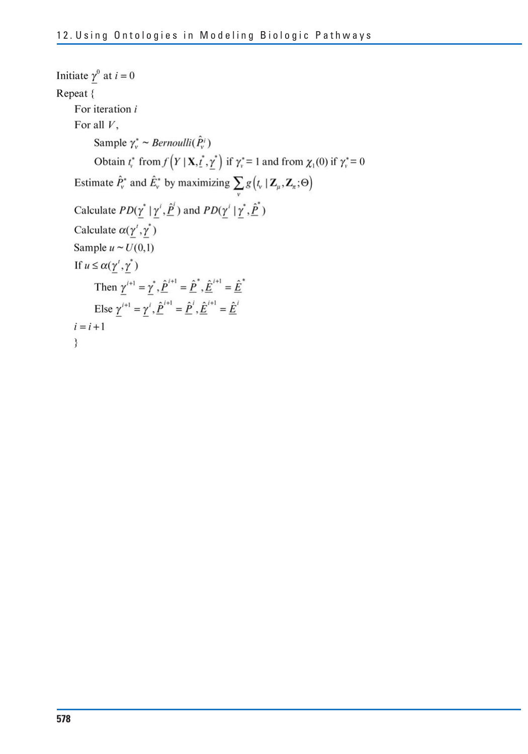```
Initiate \gamma^0 at i = 0Repeat {
For iteration i
For all V,
          Sample \gamma_v^* \sim Bernoulli(\hat{P}_v^i)Obtain t_r^* from f(Y | X, t_r^*, \gamma^*) if \gamma_r^* = 1 and from \chi_1(0) if \gamma_r^* = 0Estimate \hat{P}_v^* and \hat{E}_v^* by maximizing \sum_{v} g(t_v | \mathbf{Z}_{\mu}, \mathbf{Z}_{\pi}; \Theta)Calculate PD(\underline{\gamma}^* | \underline{\gamma}^i, \underline{\hat{P}}^i) and PD(\underline{\gamma}^i | \underline{\gamma}^*, \underline{\hat{P}}^*)Calculate \alpha(\gamma', \gamma^*)Sample u \sim U(0,1)If u \leq \alpha(\gamma', \gamma^*)Then \gamma^{i+1} = \gamma^*, \hat{P}^{i+1} = \hat{P}^*, \hat{E}^{i+1} = \hat{E}^*Else \underline{\gamma}^{i+1} = \underline{\gamma}^{i}, \underline{\hat{P}}^{i+1} = \underline{\hat{P}}^{i}, \underline{\hat{E}}^{i+1} = \underline{\hat{E}}^{i}i = i + 1ł
```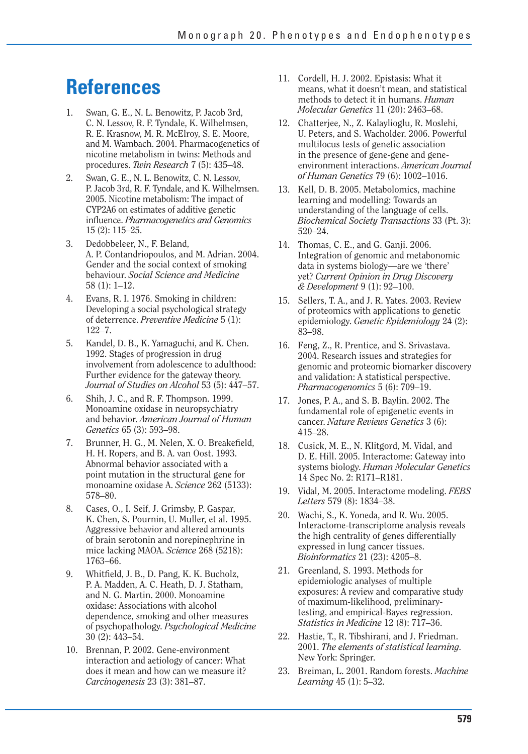## **References**

- 1. Swan, G. E., N. L. Benowitz, P. Jacob 3rd, C. N. Lessov, R. F. Tyndale, K. Wilhelmsen, R. E. Krasnow, M. R. McElroy, S. E. Moore, and M. Wambach. 2004. Pharmacogenetics of nicotine metabolism in twins: Methods and procedures. *Twin Research* 7 (5): 435–48.
- 2. Swan, G. E., N. L. Benowitz, C. N. Lessov, P. Jacob 3rd, R. F. Tyndale, and K. Wilhelmsen. 2005. Nicotine metabolism: The impact of CYP2A6 on estimates of additive genetic infl uence. *Pharmacogenetics and Genomics*  15 (2): 115–25.
- 3. Dedobbeleer, N., F. Beland, A. P. Contandriopoulos, and M. Adrian. 2004. Gender and the social context of smoking behaviour. *Social Science and Medicine*  58 (1): 1–12.
- 4. Evans, R. I. 1976. Smoking in children: Developing a social psychological strategy of deterrence. *Preventive Medicine* 5 (1): 122–7.
- 5. Kandel, D. B., K. Yamaguchi, and K. Chen. 1992. Stages of progression in drug involvement from adolescence to adulthood: Further evidence for the gateway theory. *Journal of Studies on Alcohol* 53 (5): 447–57.
- 6. Shih, J. C., and R. F. Thompson. 1999. Monoamine oxidase in neuropsychiatry and behavior. *American Journal of Human Genetics* 65 (3): 593–98.
- 7. Brunner, H. G., M. Nelen, X. O. Breakefield, H. H. Ropers, and B. A. van Oost. 1993. Abnormal behavior associated with a point mutation in the structural gene for monoamine oxidase A. *Science* 262 (5133): 578–80.
- 8. Cases, O., I. Seif, J. Grimsby, P. Gaspar, K. Chen, S. Pournin, U. Muller, et al. 1995. Aggressive behavior and altered amounts of brain serotonin and norepinephrine in mice lacking MAOA. *Science* 268 (5218): 1763–66.
- 9. Whitfield, J. B., D. Pang, K. K. Bucholz, P. A. Madden, A. C. Heath, D. J. Statham, and N. G. Martin. 2000. Monoamine oxidase: Associations with alcohol dependence, smoking and other measures of psychopathology. *Psychological Medicine*  30 (2): 443–54.
- 10. Brennan, P. 2002. Gene-environment interaction and aetiology of cancer: What does it mean and how can we measure it? *Carcinogenesis* 23 (3): 381–87.
- 11. Cordell, H. J. 2002. Epistasis: What it means, what it doesn't mean, and statistical methods to detect it in humans. *Human Molecular Genetics* 11 (20): 2463–68.
- 12. Chatterjee, N., Z. Kalaylioglu, R. Moslehi, U. Peters, and S. Wacholder. 2006. Powerful multilocus tests of genetic association in the presence of gene-gene and geneenvironment interactions. *American Journal of Human Genetics* 79 (6): 1002–1016.
- 13. Kell, D. B. 2005. Metabolomics, machine learning and modelling: Towards an understanding of the language of cells. *Biochemical Society Transactions* 33 (Pt. 3): 520–24.
- 14. Thomas, C. E., and G. Ganji. 2006. Integration of genomic and metabonomic data in systems biology—are we 'there' yet? *Current Opinion in Drug Discovery & Development* 9 (1): 92–100.
- 15. Sellers, T. A., and J. R. Yates. 2003. Review of proteomics with applications to genetic epidemiology. *Genetic Epidemiology* 24 (2): 83–98.
- 16. Feng, Z., R. Prentice, and S. Srivastava. 2004. Research issues and strategies for genomic and proteomic biomarker discovery and validation: A statistical perspective. *Pharmacogenomics* 5 (6): 709–19.
- 17. Jones, P. A., and S. B. Baylin. 2002. The fundamental role of epigenetic events in cancer. *Nature Reviews Genetics* 3 (6): 415–28.
- 18. Cusick, M. E., N. Klitgord, M. Vidal, and D. E. Hill. 2005. Interactome: Gateway into systems biology. *Human Molecular Genetics*  14 Spec No. 2: R171–R181.
- 19. Vidal, M. 2005. Interactome modeling. *FEBS Letters* 579 (8): 1834–38.
- 20. Wachi, S., K. Yoneda, and R. Wu. 2005. Interactome-transcriptome analysis reveals the high centrality of genes differentially expressed in lung cancer tissues. *Bioinformatics* 21 (23): 4205–8.
- 21. Greenland, S. 1993. Methods for epidemiologic analyses of multiple exposures: A review and comparative study of maximum-likelihood, preliminarytesting, and empirical-Bayes regression. *Statistics in Medicine* 12 (8): 717–36.
- 22. Hastie, T., R. Tibshirani, and J. Friedman. 2001. *The elements of statistical learning.*  New York: Springer.
- 23. Breiman, L. 2001. Random forests. *Machine Learning* 45 (1): 5–32.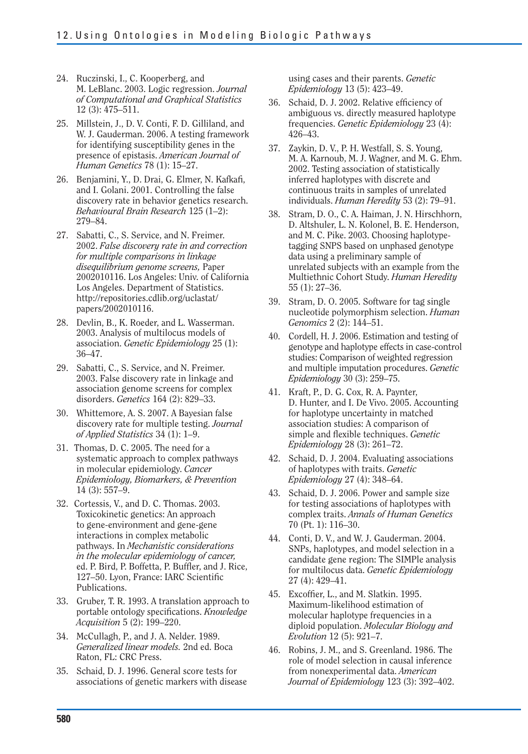- 24. Ruczinski, I., C. Kooperberg, and M. LeBlanc. 2003. Logic regression. *Journal of Computational and Graphical Statistics*  12 (3): 475–511.
- 25. Millstein, J., D. V. Conti, F. D. Gilliland, and W. J. Gauderman. 2006. A testing framework for identifying susceptibility genes in the presence of epistasis. *American Journal of Human Genetics* 78 (1): 15–27.
- 26. Benjamini, Y., D. Drai, G. Elmer, N. Kafkafi, and I. Golani. 2001. Controlling the false discovery rate in behavior genetics research. *Behavioural Brain Research* 125 (1–2): 279–84.
- 27. Sabatti, C., S. Service, and N. Freimer. 2002. *False discovery rate in and correction for multiple comparisons in linkage disequilibrium genome screens,* Paper 2002010116. Los Angeles: Univ. of California Los Angeles. Department of Statistics. http://repositories.cdlib.org/uclastat/ papers/2002010116.
- 28. Devlin, B., K. Roeder, and L. Wasserman. 2003. Analysis of multilocus models of association. *Genetic Epidemiology* 25 (1): 36–47.
- 29. Sabatti, C., S. Service, and N. Freimer. 2003. False discovery rate in linkage and association genome screens for complex disorders. *Genetics* 164 (2): 829–33.
- 30. Whittemore, A. S. 2007. A Bayesian false discovery rate for multiple testing. *Journal of Applied Statistics* 34 (1): 1–9.
- 31. Thomas, D. C. 2005. The need for a systematic approach to complex pathways in molecular epidemiology. *Cancer Epidemiology, Biomarkers, & Prevention*  14 (3): 557–9.
- 32. Cortessis, V., and D. C. Thomas. 2003. Toxicokinetic genetics: An approach to gene-environment and gene-gene interactions in complex metabolic pathways. In *Mechanistic considerations in the molecular epidemiology of cancer,*  ed. P. Bird, P. Boffetta, P. Buffler, and J. Rice, 127-50. Lyon, France: IARC Scientific Publications.
- 33. Gruber, T. R. 1993. A translation approach to portable ontology specifications. *Knowledge Acquisition* 5 (2): 199–220.
- 34. McCullagh, P., and J. A. Nelder. 1989. *Generalized linear models.* 2nd ed. Boca Raton, FL: CRC Press.
- 35. Schaid, D. J. 1996. General score tests for associations of genetic markers with disease

using cases and their parents. *Genetic Epidemiology* 13 (5): 423–49.

- 36. Schaid, D. J. 2002. Relative efficiency of ambiguous vs. directly measured haplotype frequencies. *Genetic Epidemiology* 23 (4): 426–43.
- 37. Zaykin, D. V., P. H. Westfall, S. S. Young, M. A. Karnoub, M. J. Wagner, and M. G. Ehm. 2002. Testing association of statistically inferred haplotypes with discrete and continuous traits in samples of unrelated individuals. *Human Heredity* 53 (2): 79–91.
- 38. Stram, D. O., C. A. Haiman, J. N. Hirschhorn, D. Altshuler, L. N. Kolonel, B. E. Henderson, and M. C. Pike. 2003. Choosing haplotypetagging SNPS based on unphased genotype data using a preliminary sample of unrelated subjects with an example from the Multiethnic Cohort Study. *Human Heredity*  55 (1): 27–36.
- 39. Stram, D. O. 2005. Software for tag single nucleotide polymorphism selection. *Human Genomics* 2 (2): 144–51.
- 40. Cordell, H. J. 2006. Estimation and testing of genotype and haplotype effects in case-control studies: Comparison of weighted regression and multiple imputation procedures. *Genetic Epidemiology* 30 (3): 259–75.
- 41. Kraft, P., D. G. Cox, R. A. Paynter, D. Hunter, and I. De Vivo. 2005. Accounting for haplotype uncertainty in matched association studies: A comparison of simple and flexible techniques. *Genetic Epidemiology* 28 (3): 261–72.
- 42. Schaid, D. J. 2004. Evaluating associations of haplotypes with traits. *Genetic Epidemiology* 27 (4): 348–64.
- 43. Schaid, D. J. 2006. Power and sample size for testing associations of haplotypes with complex traits. *Annals of Human Genetics*  70 (Pt. 1): 116–30.
- 44. Conti, D. V., and W. J. Gauderman. 2004. SNPs, haplotypes, and model selection in a candidate gene region: The SIMPle analysis for multilocus data. *Genetic Epidemiology*  27 (4): 429–41.
- 45. Excoffier, L., and M. Slatkin. 1995. Maximum-likelihood estimation of molecular haplotype frequencies in a diploid population. *Molecular Biology and Evolution* 12 (5): 921–7.
- 46. Robins, J. M., and S. Greenland. 1986. The role of model selection in causal inference from nonexperimental data. *American Journal of Epidemiology* 123 (3): 392–402.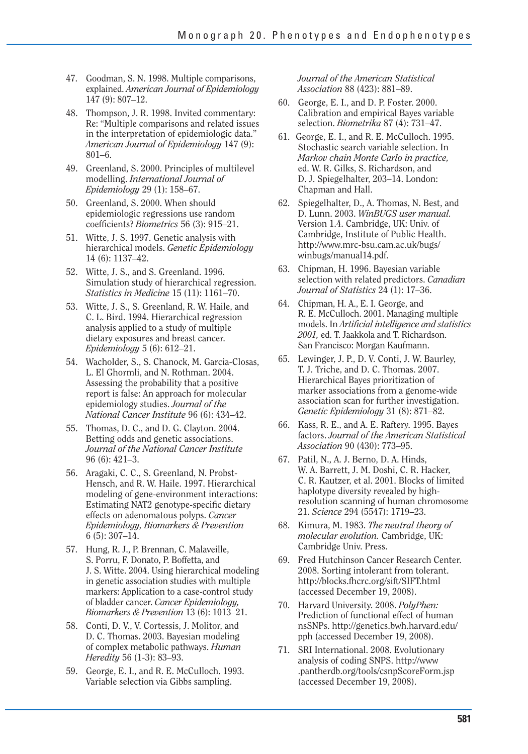- 47. Goodman, S. N. 1998. Multiple comparisons, explained. *American Journal of Epidemiology*  147 (9): 807–12.
- 48. Thompson, J. R. 1998. Invited commentary: Re: "Multiple comparisons and related issues in the interpretation of epidemiologic data." *American Journal of Epidemiology* 147 (9): 801–6.
- 49. Greenland, S. 2000. Principles of multilevel modelling. *International Journal of Epidemiology* 29 (1): 158–67.
- 50. Greenland, S. 2000. When should epidemiologic regressions use random coeffi cients? *Biometrics* 56 (3): 915–21.
- 51. Witte, J. S. 1997. Genetic analysis with hierarchical models. *Genetic Epidemiology*  14 (6): 1137–42.
- 52. Witte, J. S., and S. Greenland. 1996. Simulation study of hierarchical regression. *Statistics in Medicine* 15 (11): 1161–70.
- 53. Witte, J. S., S. Greenland, R. W. Haile, and C. L. Bird. 1994. Hierarchical regression analysis applied to a study of multiple dietary exposures and breast cancer. *Epidemiology* 5 (6): 612–21.
- 54. Wacholder, S., S. Chanock, M. Garcia-Closas, L. El Ghormli, and N. Rothman. 2004. Assessing the probability that a positive report is false: An approach for molecular epidemiology studies. *Journal of the National Cancer Institute* 96 (6): 434–42.
- 55. Thomas, D. C., and D. G. Clayton. 2004. Betting odds and genetic associations. *Journal of the National Cancer Institute*  96 (6): 421–3.
- 56. Aragaki, C. C., S. Greenland, N. Probst-Hensch, and R. W. Haile. 1997. Hierarchical modeling of gene-environment interactions: Estimating NAT2 genotype-specific dietary effects on adenomatous polyps. *Cancer Epidemiology, Biomarkers & Prevention*  6 (5): 307–14.
- 57. Hung, R. J., P. Brennan, C. Malaveille, S. Porru, F. Donato, P. Boffetta, and J. S. Witte. 2004. Using hierarchical modeling in genetic association studies with multiple markers: Application to a case-control study of bladder cancer. *Cancer Epidemiology, Biomarkers & Prevention* 13 (6): 1013–21.
- 58. Conti, D. V., V. Cortessis, J. Molitor, and D. C. Thomas. 2003. Bayesian modeling of complex metabolic pathways. *Human Heredity* 56 (1-3): 83–93.
- 59. George, E. I., and R. E. McCulloch. 1993. Variable selection via Gibbs sampling.

*Journal of the American Statistical Association* 88 (423): 881–89.

- 60. George, E. I., and D. P. Foster. 2000. Calibration and empirical Bayes variable selection. *Biometrika* 87 (4): 731–47.
- 61. George, E. I., and R. E. McCulloch. 1995. Stochastic search variable selection. In *Markov chain Monte Carlo in practice,*  ed. W. R. Gilks, S. Richardson, and D. J. Spiegelhalter, 203–14. London: Chapman and Hall.
- 62. Spiegelhalter, D., A. Thomas, N. Best, and D. Lunn. 2003. *WinBUGS user manual.*  Version 1.4. Cambridge, UK: Univ. of Cambridge, Institute of Public Health. http://www.mrc-bsu.cam.ac.uk/bugs/ winbugs/manual14.pdf.
- 63. Chipman, H. 1996. Bayesian variable selection with related predictors. *Canadian Journal of Statistics* 24 (1): 17–36.
- 64. Chipman, H. A., E. I. George, and R. E. McCulloch. 2001. Managing multiple models. In *Artificial intelligence and statistics 2001,* ed. T. Jaakkola and T. Richardson. San Francisco: Morgan Kaufmann.
- 65. Lewinger, J. P., D. V. Conti, J. W. Baurley, T. J. Triche, and D. C. Thomas. 2007. Hierarchical Bayes prioritization of marker associations from a genome-wide association scan for further investigation. *Genetic Epidemiology* 31 (8): 871–82.
- 66. Kass, R. E., and A. E. Raftery. 1995. Bayes factors. *Journal of the American Statistical Association* 90 (430): 773–95.
- 67. Patil, N., A. J. Berno, D. A. Hinds, W. A. Barrett, J. M. Doshi, C. R. Hacker, C. R. Kautzer, et al. 2001. Blocks of limited haplotype diversity revealed by highresolution scanning of human chromosome 21. *Science* 294 (5547): 1719–23.
- 68. Kimura, M. 1983. *The neutral theory of molecular evolution.* Cambridge, UK: Cambridge Univ. Press.
- 69. Fred Hutchinson Cancer Research Center. 2008. Sorting intolerant from tolerant. http://blocks.fhcrc.org/sift/SIFT.html (accessed December 19, 2008).
- 70. Harvard University. 2008. *PolyPhen:*  Prediction of functional effect of human nsSNPs. http://genetics.bwh.harvard.edu/ pph (accessed December 19, 2008).
- 71. SRI International. 2008. Evolutionary analysis of coding SNPS. http://www .pantherdb.org/tools/csnpScoreForm.jsp (accessed December 19, 2008).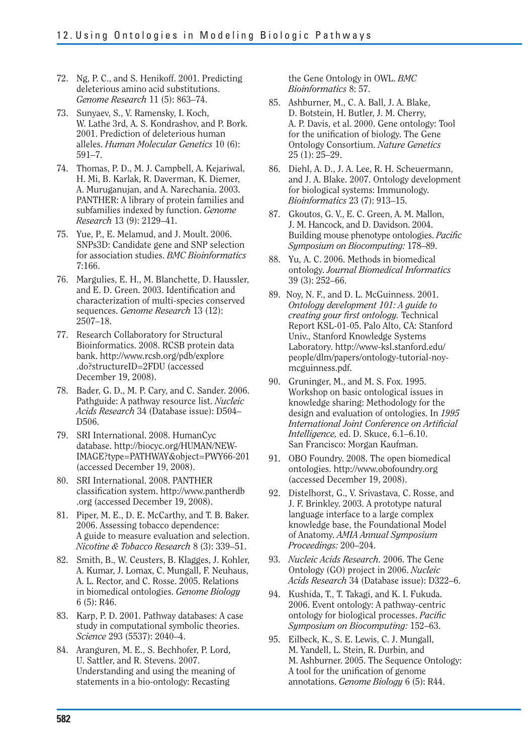- 72. Ng, P. C., and S. Henikoff. 2001. Predicting deleterious amino acid substitutions. *Genome Research* 11 (5): 863–74.
- 73. Sunyaev, S., V. Ramensky, I. Koch, W. Lathe 3rd, A. S. Kondrashov, and P. Bork. 2001. Prediction of deleterious human alleles. *Human Molecular Genetics* 10 (6): 591–7.
- 74. Thomas, P. D., M. J. Campbell, A. Kejariwal, H. Mi, B. Karlak, R. Daverman, K. Diemer, A. Muruganujan, and A. Narechania. 2003. PANTHER: A library of protein families and subfamilies indexed by function. *Genome Research* 13 (9): 2129–41.
- 75. Yue, P., E. Melamud, and J. Moult. 2006. SNPs3D: Candidate gene and SNP selection for association studies. *BMC Bioinformatics*  7:166.
- 76. Margulies, E. H., M. Blanchette, D. Haussler, and E. D. Green. 2003. Identification and characterization of multi-species conserved sequences. *Genome Research* 13 (12): 2507–18.
- 77. Research Collaboratory for Structural Bioinformatics. 2008. RCSB protein data bank. http://www.rcsb.org/pdb/explore .do?structureID=2FDU (accessed December 19, 2008).
- 78. Bader, G. D., M. P. Cary, and C. Sander. 2006. Pathguide: A pathway resource list. *Nucleic Acids Research* 34 (Database issue): D504– D506.
- 79. SRI International. 2008. HumanCyc database. http://biocyc.org/HUMAN/NEW-IMAGE?type=PATHWAY&object=PWY66-201 (accessed December 19, 2008).
- 80. SRI International. 2008. PANTHER classification system. http://www.pantherdb .org (accessed December 19, 2008).
- 81. Piper, M. E., D. E. McCarthy, and T. B. Baker. 2006. Assessing tobacco dependence: A guide to measure evaluation and selection. *Nicotine & Tobacco Research* 8 (3): 339–51.
- 82. Smith, B., W. Ceusters, B. Klagges, J. Kohler, A. Kumar, J. Lomax, C. Mungall, F. Neuhaus, A. L. Rector, and C. Rosse. 2005. Relations in biomedical ontologies. *Genome Biology*  6 (5): R46.
- 83. Karp, P. D. 2001. Pathway databases: A case study in computational symbolic theories. *Science* 293 (5537): 2040–4.
- 84. Aranguren, M. E., S. Bechhofer, P. Lord, U. Sattler, and R. Stevens. 2007. Understanding and using the meaning of statements in a bio-ontology: Recasting

the Gene Ontology in OWL. *BMC Bioinformatics* 8: 57.

- 85. Ashburner, M., C. A. Ball, J. A. Blake, D. Botstein, H. Butler, J. M. Cherry, A. P. Davis, et al. 2000. Gene ontology: Tool for the unification of biology. The Gene Ontology Consortium. *Nature Genetics*  25 (1): 25–29.
- 86. Diehl, A. D., J. A. Lee, R. H. Scheuermann, and J. A. Blake. 2007. Ontology development for biological systems: Immunology. *Bioinformatics* 23 (7): 913–15.
- 87. Gkoutos, G. V., E. C. Green, A. M. Mallon, J. M. Hancock, and D. Davidson. 2004. Building mouse phenotype ontologies. *Pacific Symposium on Biocomputing:* 178–89.
- 88. Yu, A. C. 2006. Methods in biomedical ontology. *Journal Biomedical Informatics*  39 (3): 252–66.
- 89. Noy, N. F., and D. L. McGuinness. 2001. *Ontology development 101: A guide to creating your first ontology*. Technical Report KSL-01-05. Palo Alto, CA: Stanford Univ., Stanford Knowledge Systems Laboratory. http://www-ksl.stanford.edu/ people/dlm/papers/ontology-tutorial-noymcguinness.pdf.
- 90. Gruninger, M., and M. S. Fox. 1995. Workshop on basic ontological issues in knowledge sharing: Methodology for the design and evaluation of ontologies. In *1995 International Joint Conference on Artificial Intelligence,* ed. D. Skuce, 6.1–6.10. San Francisco: Morgan Kaufman.
- 91. OBO Foundry. 2008. The open biomedical ontologies. http://www.obofoundry.org (accessed December 19, 2008).
- 92. Distelhorst, G., V. Srivastava, C. Rosse, and J. F. Brinkley. 2003. A prototype natural language interface to a large complex knowledge base, the Foundational Model of Anatomy. *AMIA Annual Symposium Proceedings:* 200–204.
- 93. *Nucleic Acids Research.* 2006. The Gene Ontology (GO) project in 2006. *Nucleic Acids Research* 34 (Database issue): D322–6.
- 94. Kushida, T., T. Takagi, and K. I. Fukuda. 2006. Event ontology: A pathway-centric ontology for biological processes. *Pacific Symposium on Biocomputing:* 152–63.
- 95. Eilbeck, K., S. E. Lewis, C. J. Mungall, M. Yandell, L. Stein, R. Durbin, and M. Ashburner. 2005. The Sequence Ontology: A tool for the unification of genome annotations. *Genome Biology* 6 (5): R44.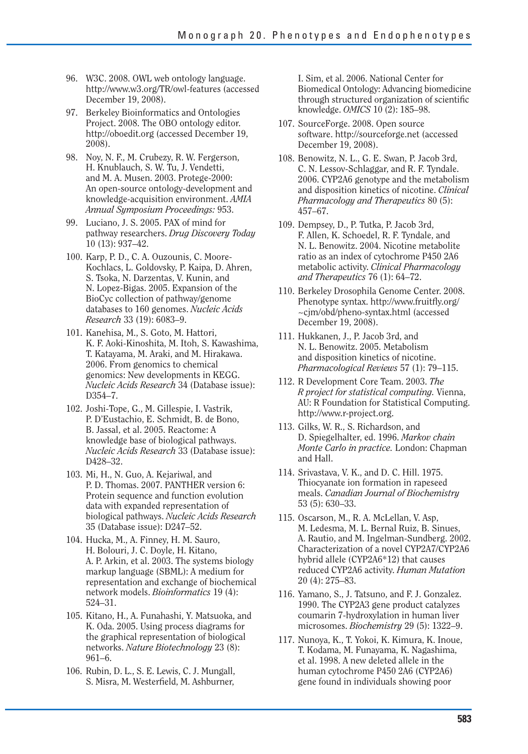- 96. W3C. 2008. OWL web ontology language. http://www.w3.org/TR/owl-features (accessed December 19, 2008).
- 97. Berkeley Bioinformatics and Ontologies Project. 2008. The OBO ontology editor. http://oboedit.org (accessed December 19, 2008).
- 98. Nov, N. F., M. Crubezy, R. W. Fergerson, H. Knublauch, S. W. Tu, J. Vendetti, and M. A. Musen. 2003. Protege-2000: An open-source ontology-development and knowledge-acquisition environment. *AMIA Annual Symposium Proceedings:* 953.
- 99. Luciano, J. S. 2005. PAX of mind for pathway researchers. *Drug Discovery Today*  10 (13): 937–42.
- 100. Karp, P. D., C. A. Ouzounis, C. Moore-Kochlacs, L. Goldovsky, P. Kaipa, D. Ahren, S. Tsoka, N. Darzentas, V. Kunin, and N. Lopez-Bigas. 2005. Expansion of the BioCyc collection of pathway/genome databases to 160 genomes. *Nucleic Acids Research* 33 (19): 6083–9.
- 101. Kanehisa, M., S. Goto, M. Hattori, K. F. Aoki-Kinoshita, M. Itoh, S. Kawashima, T. Katayama, M. Araki, and M. Hirakawa. 2006. From genomics to chemical genomics: New developments in KEGG. *Nucleic Acids Research* 34 (Database issue): D354–7.
- 102. Joshi-Tope, G., M. Gillespie, I. Vastrik, P. D'Eustachio, E. Schmidt, B. de Bono, B. Jassal, et al. 2005. Reactome: A knowledge base of biological pathways. *Nucleic Acids Research* 33 (Database issue): D428–32.
- 103. Mi, H., N. Guo, A. Kejariwal, and P. D. Thomas. 2007. PANTHER version 6: Protein sequence and function evolution data with expanded representation of biological pathways. *Nucleic Acids Research*  35 (Database issue): D247–52.
- 104. Hucka, M., A. Finney, H. M. Sauro, H. Bolouri, J. C. Doyle, H. Kitano, A. P. Arkin, et al. 2003. The systems biology markup language (SBML): A medium for representation and exchange of biochemical network models. *Bioinformatics* 19 (4): 524–31.
- 105. Kitano, H., A. Funahashi, Y. Matsuoka, and K. Oda. 2005. Using process diagrams for the graphical representation of biological networks. *Nature Biotechnology* 23 (8): 961–6.
- 106. Rubin, D. L., S. E. Lewis, C. J. Mungall, S. Misra, M. Westerfield, M. Ashburner,

I. Sim, et al. 2006. National Center for Biomedical Ontology: Advancing biomedicine through structured organization of scientific knowledge. *OMICS* 10 (2): 185–98.

- 107. SourceForge. 2008. Open source software. http://sourceforge.net (accessed December 19, 2008).
- 108. Benowitz, N. L., G. E. Swan, P. Jacob 3rd, C. N. Lessov-Schlaggar, and R. F. Tyndale. 2006. CYP2A6 genotype and the metabolism and disposition kinetics of nicotine. *Clinical Pharmacology and Therapeutics* 80 (5): 457–67.
- 109. Dempsey, D., P. Tutka, P. Jacob 3rd, F. Allen, K. Schoedel, R. F. Tyndale, and N. L. Benowitz. 2004. Nicotine metabolite ratio as an index of cytochrome P450 2A6 metabolic activity. *Clinical Pharmacology and Therapeutics* 76 (1): 64–72.
- 110. Berkeley Drosophila Genome Center. 2008. Phenotype syntax. http://www.fruitfly.org/ ~cjm/obd/pheno-syntax.html (accessed December 19, 2008).
- 111. Hukkanen, J., P. Jacob 3rd, and N. L. Benowitz. 2005. Metabolism and disposition kinetics of nicotine. *Pharmacological Reviews* 57 (1): 79–115.
- 112. R Development Core Team. 2003. *The R project for statistical computing.* Vienna, AU: R Foundation for Statistical Computing. http://www.r-project.org.
- 113. Gilks, W. R., S. Richardson, and D. Spiegelhalter, ed. 1996. *Markov chain Monte Carlo in practice.* London: Chapman and Hall.
- 114. Srivastava, V. K., and D. C. Hill. 1975. Thiocyanate ion formation in rapeseed meals. *Canadian Journal of Biochemistry*  53 (5): 630–33.
- 115. Oscarson, M., R. A. McLellan, V. Asp, M. Ledesma, M. L. Bernal Ruiz, B. Sinues, A. Rautio, and M. Ingelman-Sundberg. 2002. Characterization of a novel CYP2A7/CYP2A6 hybrid allele (CYP2A6\*12) that causes reduced CYP2A6 activity. *Human Mutation*  20 (4): 275–83.
- 116. Yamano, S., J. Tatsuno, and F. J. Gonzalez. 1990. The CYP2A3 gene product catalyzes coumarin 7-hydroxylation in human liver microsomes. *Biochemistry* 29 (5): 1322–9.
- 117. Nunoya, K., T. Yokoi, K. Kimura, K. Inoue, T. Kodama, M. Funayama, K. Nagashima, et al. 1998. A new deleted allele in the human cytochrome P450 2A6 (CYP2A6) gene found in individuals showing poor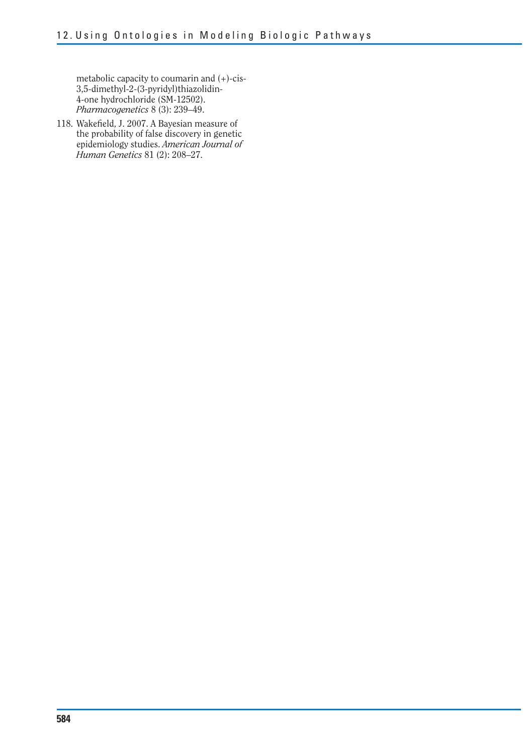metabolic capacity to coumarin and (+)-cis-3,5-dimethyl-2-(3-pyridyl)thiazolidin-4-one hydrochloride (SM-12502). *Pharmacogenetics* 8 (3): 239–49.

118. Wakefield, J. 2007. A Bayesian measure of the probability of false discovery in genetic epidemiology studies. *American Journal of Human Genetics* 81 (2): 208–27.